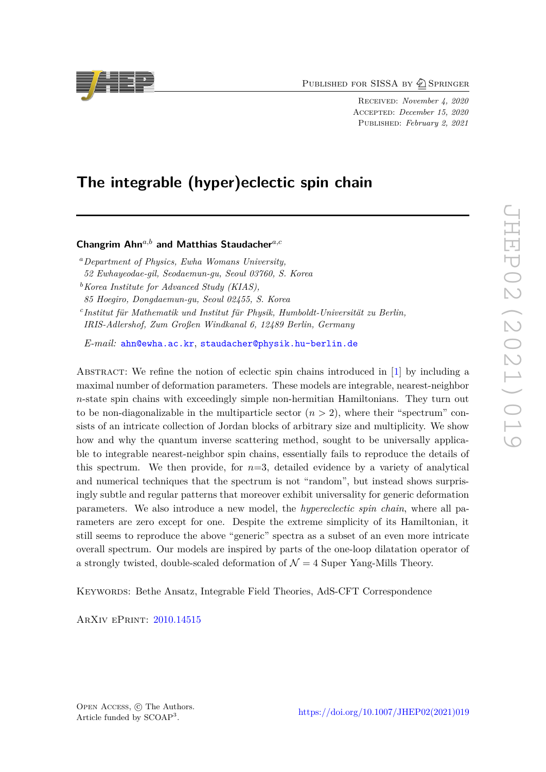PUBLISHED FOR SISSA BY 2 SPRINGER

Received: *November 4, 2020* Accepted: *December 15, 2020* Published: *February 2, 2021*

# **The integrable (hyper)eclectic spin chain**

**Changrim Ahn***a,b* **and Matthias Staudacher***a,c*

*<sup>a</sup>Department of Physics, Ewha Womans University,*

*52 Ewhayeodae-gil, Seodaemun-gu, Seoul 03760, S. Korea*

*<sup>b</sup>Korea Institute for Advanced Study (KIAS),*

*85 Hoegiro, Dongdaemun-gu, Seoul 02455, S. Korea*

*c Institut für Mathematik und Institut für Physik, Humboldt-Universität zu Berlin, IRIS-Adlershof, Zum Großen Windkanal 6, 12489 Berlin, Germany*

*E-mail:* [ahn@ewha.ac.kr](mailto:ahn@ewha.ac.kr), [staudacher@physik.hu-berlin.de](mailto:staudacher@physik.hu-berlin.de)

ABSTRACT: We refine the notion of eclectic spin chains introduced in  $[1]$  by including a maximal number of deformation parameters. These models are integrable, nearest-neighbor *n*-state spin chains with exceedingly simple non-hermitian Hamiltonians. They turn out to be non-diagonalizable in the multiparticle sector  $(n > 2)$ , where their "spectrum" consists of an intricate collection of Jordan blocks of arbitrary size and multiplicity. We show how and why the quantum inverse scattering method, sought to be universally applicable to integrable nearest-neighbor spin chains, essentially fails to reproduce the details of this spectrum. We then provide, for  $n=3$ , detailed evidence by a variety of analytical and numerical techniques that the spectrum is not "random", but instead shows surprisingly subtle and regular patterns that moreover exhibit universality for generic deformation parameters. We also introduce a new model, the *hypereclectic spin chain*, where all parameters are zero except for one. Despite the extreme simplicity of its Hamiltonian, it still seems to reproduce the above "generic" spectra as a subset of an even more intricate overall spectrum. Our models are inspired by parts of the one-loop dilatation operator of a strongly twisted, double-scaled deformation of  $\mathcal{N}=4$  Super Yang-Mills Theory.

Keywords: Bethe Ansatz, Integrable Field Theories, AdS-CFT Correspondence

ArXiv ePrint: [2010.14515](https://arxiv.org/abs/2010.14515)

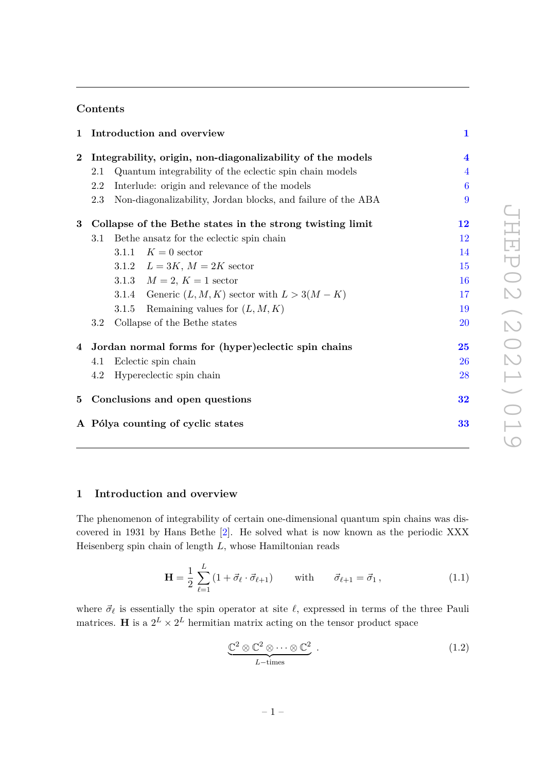# **Contents**

| 1                                 | Introduction and overview                                           |                |  |  |  |
|-----------------------------------|---------------------------------------------------------------------|----------------|--|--|--|
| $\bf{2}$                          | Integrability, origin, non-diagonalizability of the models          | 4              |  |  |  |
|                                   | Quantum integrability of the eclectic spin chain models<br>2.1      | $\overline{4}$ |  |  |  |
|                                   | Interlude: origin and relevance of the models<br>2.2                | 6              |  |  |  |
|                                   | 2.3<br>Non-diagonalizability, Jordan blocks, and failure of the ABA | 9              |  |  |  |
| 3                                 | Collapse of the Bethe states in the strong twisting limit           |                |  |  |  |
|                                   | 3.1<br>Be the ansatz for the eclectic spin chain                    | 12             |  |  |  |
|                                   | 3.1.1 $K = 0$ sector                                                | 14             |  |  |  |
|                                   | 3.1.2 $L = 3K, M = 2K$ sector                                       | 15             |  |  |  |
|                                   | 3.1.3 $M = 2, K = 1$ sector                                         | 16             |  |  |  |
|                                   | 3.1.4 Generic $(L, M, K)$ sector with $L > 3(M - K)$                | 17             |  |  |  |
|                                   | Remaining values for $(L, M, K)$<br>3.1.5                           | 19             |  |  |  |
|                                   | 3.2<br>Collapse of the Bethe states                                 | <b>20</b>      |  |  |  |
|                                   | 4 Jordan normal forms for (hyper)eclectic spin chains               |                |  |  |  |
|                                   | Eclectic spin chain<br>4.1                                          | 26             |  |  |  |
|                                   | 4.2<br>Hypereclectic spin chain                                     | 28             |  |  |  |
| 5                                 | Conclusions and open questions                                      | 32             |  |  |  |
| A Pólya counting of cyclic states |                                                                     |                |  |  |  |

## <span id="page-1-0"></span>**1 Introduction and overview**

The phenomenon of integrability of certain one-dimensional quantum spin chains was discovered in 1931 by Hans Bethe [\[2\]](#page-34-1). He solved what is now known as the periodic XXX Heisenberg spin chain of length *L*, whose Hamiltonian reads

<span id="page-1-2"></span>
$$
\mathbf{H} = \frac{1}{2} \sum_{\ell=1}^{L} (1 + \vec{\sigma}_{\ell} \cdot \vec{\sigma}_{\ell+1}) \quad \text{with} \quad \vec{\sigma}_{\ell+1} = \vec{\sigma}_{1}, \tag{1.1}
$$

where  $\vec{\sigma}_{\ell}$  is essentially the spin operator at site  $\ell$ , expressed in terms of the three Pauli matrices. **H** is a  $2^L \times 2^L$  hermitian matrix acting on the tensor product space

<span id="page-1-1"></span>
$$
\underbrace{\mathbb{C}^2 \otimes \mathbb{C}^2 \otimes \cdots \otimes \mathbb{C}^2}_{L-\text{times}} \ . \tag{1.2}
$$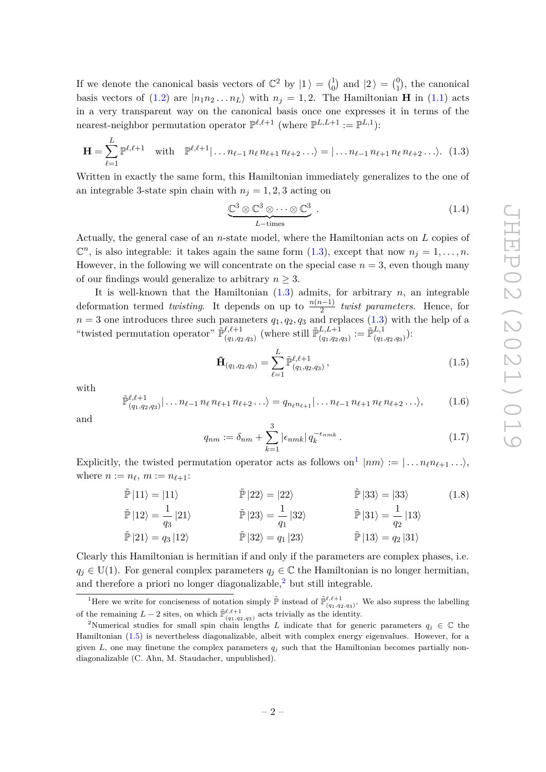If we denote the canonical basis vectors of  $\mathbb{C}^2$  by  $|1\rangle = \binom{1}{0}$  $_{0}^{1}$  and  $|2\rangle = {0 \choose 1}$  $\binom{0}{1}$ , the canonical basis vectors of [\(1.2\)](#page-1-1) are  $|n_1n_2...n_L\rangle$  with  $n_j = 1, 2$ . The Hamiltonian **H** in [\(1.1\)](#page-1-2) acts in a very transparent way on the canonical basis once one expresses it in terms of the nearest-neighbor permutation operator  $\mathbb{P}^{\ell,\ell+1}$  (where  $\mathbb{P}^{L,L+1} := \mathbb{P}^{L,1}$ ):

<span id="page-2-0"></span>
$$
\mathbf{H} = \sum_{\ell=1}^{L} \mathbb{P}^{\ell, \ell+1} \text{ with } \mathbb{P}^{\ell, \ell+1} | \dots n_{\ell-1} n_{\ell} n_{\ell+1} n_{\ell+2} \dots \rangle = | \dots n_{\ell-1} n_{\ell+1} n_{\ell} n_{\ell+2} \dots \rangle. \tag{1.3}
$$

Written in exactly the same form, this Hamiltonian immediately generalizes to the one of an integrable 3-state spin chain with  $n_j = 1, 2, 3$  acting on

<span id="page-2-5"></span>
$$
\underbrace{\mathbb{C}^3 \otimes \mathbb{C}^3 \otimes \cdots \otimes \mathbb{C}^3}_{L-\text{times}} \ . \tag{1.4}
$$

Actually, the general case of an *n*-state model, where the Hamiltonian acts on *L* copies of  $\mathbb{C}^n$ , is also integrable: it takes again the same form  $(1.3)$ , except that now  $n_j = 1, \ldots, n$ . However, in the following we will concentrate on the special case  $n = 3$ , even though many of our findings would generalize to arbitrary  $n \geq 3$ .

It is well-known that the Hamiltonian  $(1.3)$  admits, for arbitrary  $n$ , an integrable deformation termed *twisting*. It depends on up to  $\frac{n(n-1)}{2}$  *twist parameters*. Hence, for  $n = 3$  one introduces three such parameters  $q_1, q_2, q_3$  and replaces  $(1.3)$  with the help of a "twisted permutation operator"  $\tilde{\mathbb{P}}_{(q_1, q_2, q_3)}^{\ell, \ell+1}$  (where still  $\tilde{\mathbb{P}}_{(q_1, q_2, q_3)}^{L, L+1} := \tilde{\mathbb{P}}_{(q_1, q_2, q_3)}^{L, 1}$ ):

<span id="page-2-3"></span>
$$
\tilde{\mathbf{H}}_{(q_1,q_2,q_3)} = \sum_{\ell=1}^{L} \tilde{\mathbb{P}}_{(q_1,q_2,q_3)}^{\ell,\ell+1}, \qquad (1.5)
$$

with

$$
\tilde{\mathbb{P}}_{(q_1,q_2,q_3)}^{\ell,\ell+1}|\ldots n_{\ell-1} n_{\ell} n_{\ell+1} n_{\ell+2} \ldots\rangle = q_{n_{\ell} n_{\ell+1}}|\ldots n_{\ell-1} n_{\ell+1} n_{\ell} n_{\ell+2} \ldots\rangle, \qquad (1.6)
$$

and

<span id="page-2-4"></span>
$$
q_{nm} := \delta_{nm} + \sum_{k=1}^{3} |\epsilon_{nmk}| q_k^{-\epsilon_{nmk}}.
$$
 (1.7)

Explicitly, the twisted permutation operator acts as follows on<sup>[1](#page-2-1)</sup>  $|nm\rangle := | \dots n_{\ell} n_{\ell+1} \dots \rangle$ , where  $n := n_{\ell}, m := n_{\ell+1}:$ 

$$
\tilde{\mathbb{P}} |11\rangle = |11\rangle \qquad \qquad \tilde{\mathbb{P}} |22\rangle = |22\rangle \qquad \qquad \tilde{\mathbb{P}} |33\rangle = |33\rangle \qquad (1.8)
$$
\n
$$
\tilde{\mathbb{P}} |12\rangle = \frac{1}{q_3} |21\rangle \qquad \qquad \tilde{\mathbb{P}} |23\rangle = \frac{1}{q_1} |32\rangle \qquad \qquad \tilde{\mathbb{P}} |31\rangle = \frac{1}{q_2} |13\rangle
$$
\n
$$
\tilde{\mathbb{P}} |21\rangle = q_3 |12\rangle \qquad \qquad \tilde{\mathbb{P}} |32\rangle = q_1 |23\rangle \qquad \qquad \tilde{\mathbb{P}} |13\rangle = q_2 |31\rangle
$$
\n(1.8)

Clearly this Hamiltonian is hermitian if and only if the parameters are complex phases, i.e.  $q_i \in U(1)$ . For general complex parameters  $q_i \in \mathbb{C}$  the Hamiltonian is no longer hermitian, and therefore a priori no longer diagonalizable,<sup>[2](#page-2-2)</sup> but still integrable.

<span id="page-2-1"></span><sup>&</sup>lt;sup>1</sup>Here we write for conciseness of notation simply  $\tilde{\mathbb{P}}$  instead of  $\tilde{\mathbb{P}}_{(q_1,q_2,q_3)}^{\ell,\ell+1}$ . We also supress the labelling of the remaining  $L - 2$  sites, on which  $\tilde{\mathbb{P}}_{(q_1,q_2,q_3)}^{\ell,\ell+1}$  acts trivially as the identity.

<span id="page-2-2"></span><sup>&</sup>lt;sup>2</sup>Numerical studies for small spin chain lengths *L* indicate that for generic parameters  $q_j \in \mathbb{C}$  the Hamiltonian [\(1.5\)](#page-2-3) is nevertheless diagonalizable, albeit with complex energy eigenvalues. However, for a given  $L$ , one may finetune the complex parameters  $q_i$  such that the Hamiltonian becomes partially nondiagonalizable (C. Ahn, M. Staudacher, unpublished).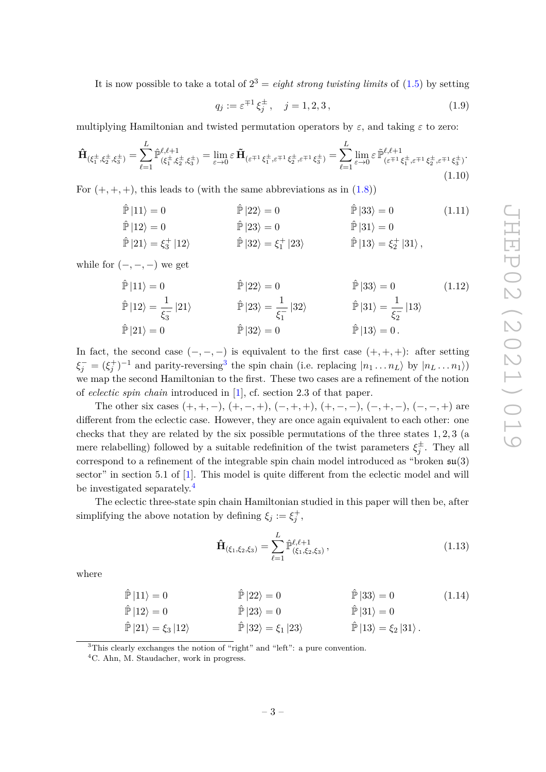It is now possible to take a total of  $2^3 = \text{eight strong twisting limits of } (1.5)$  $2^3 = \text{eight strong twisting limits of } (1.5)$  by setting

<span id="page-3-4"></span>
$$
q_j := \varepsilon^{\mp 1} \, \xi_j^{\pm} \,, \quad j = 1, 2, 3 \,, \tag{1.9}
$$

multiplying Hamiltonian and twisted permutation operators by  $\varepsilon$ , and taking  $\varepsilon$  to zero:

<span id="page-3-5"></span>
$$
\hat{\mathbf{H}}_{(\xi_1^{\pm},\xi_2^{\pm},\xi_3^{\pm})} = \sum_{\ell=1}^{L} \hat{\mathbb{P}}_{(\xi_1^{\pm},\xi_2^{\pm},\xi_3^{\pm})}^{\ell,\ell+1} = \lim_{\varepsilon \to 0} \varepsilon \, \tilde{\mathbf{H}}_{(\varepsilon^{\mp 1}\xi_1^{\pm},\varepsilon^{\mp 1}\xi_2^{\pm},\varepsilon^{\mp 1}\xi_3^{\pm})} = \sum_{\ell=1}^{L} \lim_{\varepsilon \to 0} \varepsilon \, \tilde{\mathbb{P}}_{(\varepsilon^{\mp 1}\xi_1^{\pm},\varepsilon^{\mp 1}\xi_2^{\pm},\varepsilon^{\mp 1}\xi_3^{\pm})}.
$$
\n(1.10)

For  $(+, +, +)$ , this leads to (with the same abbreviations as in  $(1.8)$ )

 $\hat{\mathbb{P}} |11\rangle = 0$   $\hat{\mathbb{P}} |22\rangle = 0$   $\hat{\mathbb{P}} |33\rangle = 0$  (1.11)  $\hat{\mathbb{P}} |12\rangle = 0$   $\hat{\mathbb{P}} |23\rangle = 0$   $\hat{\mathbb{P}} |31\rangle = 0$  $\hat{\mathbb{P}}\ket{21} = \xi_3^+$  $|12\rangle$   $\hat{\mathbb{P}} |32\rangle = \xi_1^+$  $|23\rangle$   $\hat{\mathbb{P}} |13\rangle = \xi_2^+ |31\rangle$ ,

while for  $(-,-,-)$  we get

$$
\hat{\mathbb{P}} |11\rangle = 0 \qquad \hat{\mathbb{P}} |22\rangle = 0 \qquad \hat{\mathbb{P}} |33\rangle = 0 \qquad (1.12)
$$
  
\n
$$
\hat{\mathbb{P}} |12\rangle = \frac{1}{\xi_3} |21\rangle \qquad \hat{\mathbb{P}} |23\rangle = \frac{1}{\xi_1} |32\rangle \qquad \hat{\mathbb{P}} |31\rangle = \frac{1}{\xi_2} |13\rangle
$$
  
\n
$$
\hat{\mathbb{P}} |21\rangle = 0 \qquad \hat{\mathbb{P}} |32\rangle = 0 \qquad \hat{\mathbb{P}} |13\rangle = 0.
$$

In fact, the second case  $(-,-,-)$  is equivalent to the first case  $(+,+,+)$ : after setting  $\xi_j^- = (\xi_j^+)^{-1}$  and parity-reversing<sup>[3](#page-3-0)</sup> the spin chain (i.e. replacing  $|n_1 \dots n_L\rangle$  by  $|n_L \dots n_1\rangle$ ) we map the second Hamiltonian to the first. These two cases are a refinement of the notion of *eclectic spin chain* introduced in [\[1\]](#page-34-0), cf. section 2.3 of that paper.

The other six cases (+*,* +*,* −), (+*,* −*,* +), (−*,* +*,* +), (+*,* −*,* −), (−*,* +*,* −), (−*,* −*,* +) are different from the eclectic case. However, they are once again equivalent to each other: one checks that they are related by the six possible permutations of the three states 1*,* 2*,* 3 (a mere relabelling) followed by a suitable redefinition of the twist parameters  $\xi_j^{\pm}$ . They all correspond to a refinement of the integrable spin chain model introduced as "broken  $\mathfrak{su}(3)$ sector" in section 5.1 of [\[1\]](#page-34-0). This model is quite different from the eclectic model and will be investigated separately.<sup>[4](#page-3-1)</sup>

The eclectic three-state spin chain Hamiltonian studied in this paper will then be, after simplifying the above notation by defining  $\xi_j := \xi_j^+$ ,

<span id="page-3-3"></span><span id="page-3-2"></span>
$$
\hat{\mathbf{H}}_{(\xi_1,\xi_2,\xi_3)} = \sum_{\ell=1}^{L} \hat{\mathbb{P}}_{(\xi_1,\xi_2,\xi_3)}^{\ell,\ell+1}, \qquad (1.13)
$$

where

$$
\hat{\mathbb{P}} |11\rangle = 0 \qquad \hat{\mathbb{P}} |22\rangle = 0 \qquad \hat{\mathbb{P}} |33\rangle = 0 \qquad (1.14)
$$
  
\n
$$
\hat{\mathbb{P}} |12\rangle = 0 \qquad \hat{\mathbb{P}} |23\rangle = 0 \qquad \hat{\mathbb{P}} |31\rangle = 0
$$
  
\n
$$
\hat{\mathbb{P}} |21\rangle = \xi_3 |12\rangle \qquad \hat{\mathbb{P}} |32\rangle = \xi_1 |23\rangle \qquad \hat{\mathbb{P}} |13\rangle = \xi_2 |31\rangle.
$$

<span id="page-3-0"></span><sup>3</sup>This clearly exchanges the notion of "right" and "left": a pure convention.

<span id="page-3-1"></span><sup>4</sup>C. Ahn, M. Staudacher, work in progress.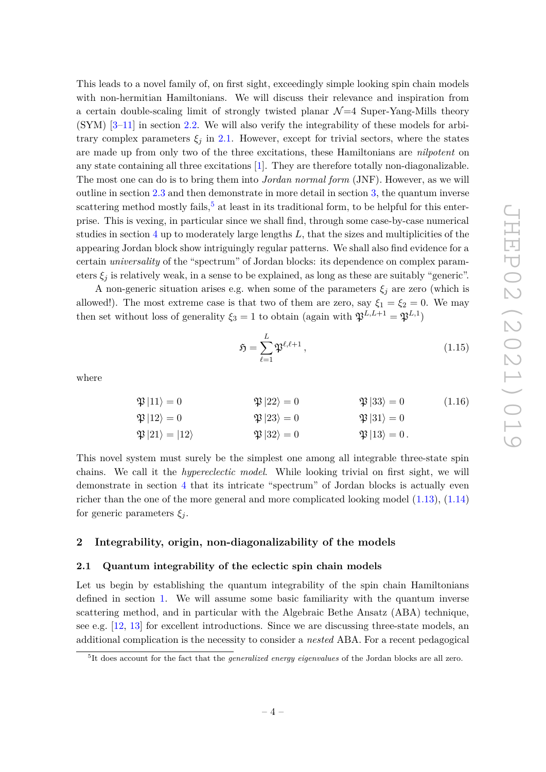This leads to a novel family of, on first sight, exceedingly simple looking spin chain models with non-hermitian Hamiltonians. We will discuss their relevance and inspiration from a certain double-scaling limit of strongly twisted planar  $\mathcal{N}=4$  Super-Yang-Mills theory (SYM) [\[3](#page-34-2)[–11\]](#page-35-0) in section [2.2.](#page-6-0) We will also verify the integrability of these models for arbitrary complex parameters  $\xi_j$  in [2.1.](#page-4-1) However, except for trivial sectors, where the states are made up from only two of the three excitations, these Hamiltonians are *nilpotent* on any state containing all three excitations [\[1\]](#page-34-0). They are therefore totally non-diagonalizable. The most one can do is to bring them into *Jordan normal form* (JNF). However, as we will outline in section [2.3](#page-9-0) and then demonstrate in more detail in section [3,](#page-12-0) the quantum inverse scattering method mostly fails,  $5$  at least in its traditional form, to be helpful for this enterprise. This is vexing, in particular since we shall find, through some case-by-case numerical studies in section [4](#page-25-0) up to moderately large lengths *L*, that the sizes and multiplicities of the appearing Jordan block show intriguingly regular patterns. We shall also find evidence for a certain *universality* of the "spectrum" of Jordan blocks: its dependence on complex parameters  $\xi_i$  is relatively weak, in a sense to be explained, as long as these are suitably "generic".

A non-generic situation arises e.g. when some of the parameters  $\xi_i$  are zero (which is allowed!). The most extreme case is that two of them are zero, say  $\xi_1 = \xi_2 = 0$ . We may then set without loss of generality  $\xi_3 = 1$  to obtain (again with  $\mathfrak{P}^{L,L+1} = \mathfrak{P}^{L,1}$ )

<span id="page-4-4"></span><span id="page-4-3"></span>
$$
\mathfrak{H} = \sum_{\ell=1}^{L} \mathfrak{P}^{\ell, \ell+1} , \qquad (1.15)
$$

where

$$
\mathfrak{P}|11\rangle = 0 \qquad \qquad \mathfrak{P}|22\rangle = 0 \qquad \qquad \mathfrak{P}|33\rangle = 0 \qquad (1.16)
$$
  

$$
\mathfrak{P}|12\rangle = 0 \qquad \qquad \mathfrak{P}|23\rangle = 0 \qquad \qquad \mathfrak{P}|31\rangle = 0
$$
  

$$
\mathfrak{P}|21\rangle = |12\rangle \qquad \qquad \mathfrak{P}|32\rangle = 0 \qquad \qquad \mathfrak{P}|13\rangle = 0.
$$

This novel system must surely be the simplest one among all integrable three-state spin chains. We call it the *hypereclectic model*. While looking trivial on first sight, we will demonstrate in section [4](#page-25-0) that its intricate "spectrum" of Jordan blocks is actually even richer than the one of the more general and more complicated looking model  $(1.13)$ ,  $(1.14)$ for generic parameters  $\xi_j$ .

### <span id="page-4-0"></span>**2 Integrability, origin, non-diagonalizability of the models**

### <span id="page-4-1"></span>**2.1 Quantum integrability of the eclectic spin chain models**

Let us begin by establishing the quantum integrability of the spin chain Hamiltonians defined in section [1.](#page-1-0) We will assume some basic familiarity with the quantum inverse scattering method, and in particular with the Algebraic Bethe Ansatz (ABA) technique, see e.g. [\[12,](#page-35-1) [13\]](#page-35-2) for excellent introductions. Since we are discussing three-state models, an additional complication is the necessity to consider a *nested* ABA. For a recent pedagogical

<span id="page-4-2"></span><sup>&</sup>lt;sup>5</sup>It does account for the fact that the *generalized energy eigenvalues* of the Jordan blocks are all zero.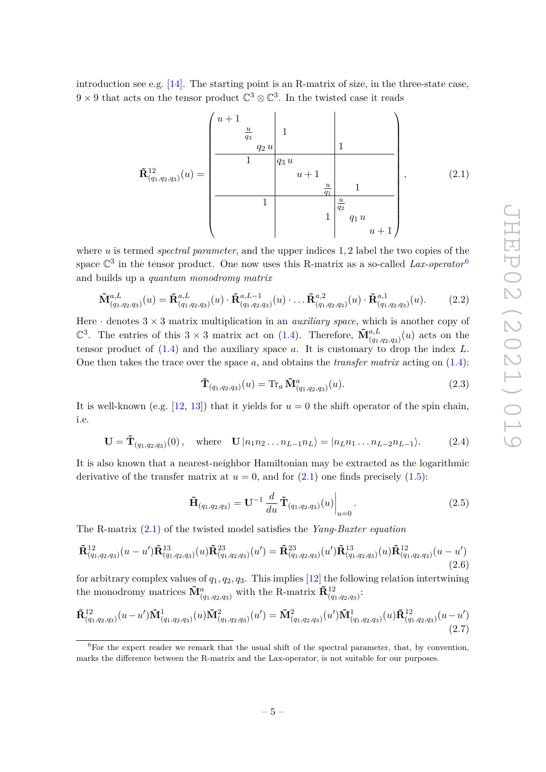introduction see e.g. [\[14\]](#page-35-3). The starting point is an R-matrix of size, in the three-state case,  $9 \times 9$  that acts on the tensor product  $\mathbb{C}^3 \otimes \mathbb{C}^3$ . In the twisted case it reads

<span id="page-5-1"></span>
$$
\tilde{\mathbf{R}}_{(q_1, q_2, q_3)}^{12}(u) = \begin{pmatrix} u+1 & & & & & \\ \frac{u}{q_3} & & 1 & & & \\ & & q_2 u & & & \\ & & & q_3 u & & \\ & & & & u+1 & \\ & & & & & \frac{u}{q_1} & \\ & & & & & 1 \end{pmatrix}, \qquad (2.1)
$$

where *u* is termed *spectral parameter*, and the upper indices 1*,* 2 label the two copies of the space  $\mathbb{C}^3$  in the tensor product. One now uses this R-matrix as a so-called *Lax-operator*<sup>[6](#page-5-0)</sup> and builds up a *quantum monodromy matrix*

<span id="page-5-5"></span>
$$
\tilde{\mathbf{M}}_{(q_1,q_2,q_3)}^{a,L}(u) = \tilde{\mathbf{R}}_{(q_1,q_2,q_3)}^{a,L}(u) \cdot \tilde{\mathbf{R}}_{(q_1,q_2,q_3)}^{a,L-1}(u) \cdot \ldots \tilde{\mathbf{R}}_{(q_1,q_2,q_3)}^{a,2}(u) \cdot \tilde{\mathbf{R}}_{(q_1,q_2,q_3)}^{a,1}(u). \tag{2.2}
$$

Here  $\cdot$  denotes  $3 \times 3$  matrix multiplication in an *auxiliary space*, which is another copy of  $\mathbb{C}^3$ . The entries of this  $3 \times 3$  matrix act on [\(1.4\)](#page-2-5). Therefore,  $\tilde{\mathbf{M}}_{(q_1,q_2,q_3)}^{a,L}(u)$  acts on the tensor product of [\(1.4\)](#page-2-5) and the auxiliary space *a*. It is customary to drop the index *L*. One then takes the trace over the space *a*, and obtains the *transfer matrix* acting on [\(1.4\)](#page-2-5):

<span id="page-5-4"></span>
$$
\tilde{\mathbf{T}}_{(q_1, q_2, q_3)}(u) = \text{Tr}_a \, \tilde{\mathbf{M}}^a_{(q_1, q_2, q_3)}(u). \tag{2.3}
$$

It is well-known (e.g.  $[12, 13]$  $[12, 13]$  $[12, 13]$ ) that it yields for  $u = 0$  the shift operator of the spin chain, i.e.

$$
\mathbf{U} = \tilde{\mathbf{T}}_{(q_1, q_2, q_3)}(0), \text{ where } \mathbf{U} | n_1 n_2 \dots n_{L-1} n_L \rangle = |n_L n_1 \dots n_{L-2} n_{L-1} \rangle. \tag{2.4}
$$

It is also known that a nearest-neighbor Hamiltonian may be extracted as the logarithmic derivative of the transfer matrix at  $u = 0$ , and for  $(2.1)$  one finds precisely  $(1.5)$ :

<span id="page-5-2"></span>
$$
\tilde{\mathbf{H}}_{(q_1, q_2, q_3)} = \mathbf{U}^{-1} \frac{d}{du} \tilde{\mathbf{T}}_{(q_1, q_2, q_3)}(u) \Big|_{u=0}.
$$
\n(2.5)

The R-matrix [\(2.1\)](#page-5-1) of the twisted model satisfies the *Yang-Baxter equation*

<span id="page-5-3"></span>
$$
\tilde{\mathbf{R}}^{12}_{(q_1,q_2,q_3)}(u-u')\tilde{\mathbf{R}}^{13}_{(q_1,q_2,q_3)}(u)\tilde{\mathbf{R}}^{23}_{(q_1,q_2,q_3)}(u') = \tilde{\mathbf{R}}^{23}_{(q_1,q_2,q_3)}(u')\tilde{\mathbf{R}}^{13}_{(q_1,q_2,q_3)}(u)\tilde{\mathbf{R}}^{12}_{(q_1,q_2,q_3)}(u-u')
$$
\n(2.6)

for arbitrary complex values of  $q_1, q_2, q_3$ . This implies [\[12\]](#page-35-1) the following relation intertwining the monodromy matrices  $\tilde{\mathbf{M}}_{(q_1,q_2,q_3)}^a$  with the R-matrix  $\tilde{\mathbf{R}}_{(q_1,q_2,q_3)}^{12}$ .

<span id="page-5-6"></span>
$$
\tilde{\mathbf{R}}^{12}_{(q_1,q_2,q_3)}(u-u')\tilde{\mathbf{M}}^1_{(q_1,q_2,q_3)}(u)\tilde{\mathbf{M}}^2_{(q_1,q_2,q_3)}(u') = \tilde{\mathbf{M}}^2_{(q_1,q_2,q_3)}(u')\tilde{\mathbf{M}}^1_{(q_1,q_2,q_3)}(u)\tilde{\mathbf{R}}^{12}_{(q_1,q_2,q_3)}(u-u')
$$
\n(2.7)

<span id="page-5-0"></span> ${}^{6}$ For the expert reader we remark that the usual shift of the spectral parameter, that, by convention, marks the difference between the R-matrix and the Lax-operator, is not suitable for our purposes.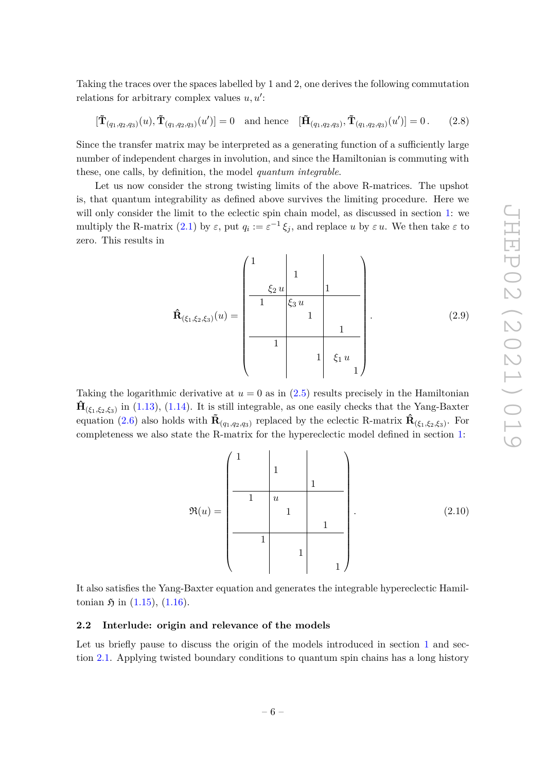Taking the traces over the spaces labelled by 1 and 2, one derives the following commutation relations for arbitrary complex values  $u, u'$ :

<span id="page-6-3"></span>
$$
[\tilde{\mathbf{T}}_{(q_1,q_2,q_3)}(u), \tilde{\mathbf{T}}_{(q_1,q_2,q_3)}(u')] = 0 \text{ and hence } [\tilde{\mathbf{H}}_{(q_1,q_2,q_3)}, \tilde{\mathbf{T}}_{(q_1,q_2,q_3)}(u')] = 0. \quad (2.8)
$$

Since the transfer matrix may be interpreted as a generating function of a sufficiently large number of independent charges in involution, and since the Hamiltonian is commuting with these, one calls, by definition, the model *quantum integrable*.

Let us now consider the strong twisting limits of the above R-matrices. The upshot is, that quantum integrability as defined above survives the limiting procedure. Here we will only consider the limit to the eclectic spin chain model, as discussed in section [1:](#page-1-0) we multiply the R-matrix  $(2.1)$  by  $\varepsilon$ , put  $q_i := \varepsilon^{-1} \xi_j$ , and replace *u* by  $\varepsilon u$ . We then take  $\varepsilon$  to zero. This results in

<span id="page-6-1"></span>
$$
\hat{\mathbf{R}}_{(\xi_1,\xi_2,\xi_3)}(u) = \begin{pmatrix} 1 & & & & \\ & \xi_2 u & & & \\ & 1 & & & \\ & & 1 & & \\ & & & 1 & \\ & & & & 1 \\ & & & & & 1 \\ & & & & & 1 \end{pmatrix} . \tag{2.9}
$$

Taking the logarithmic derivative at  $u = 0$  as in  $(2.5)$  results precisely in the Hamiltonian  $\mathbf{\hat{H}}_{(\xi_1,\xi_2,\xi_3)}$  in [\(1.13\)](#page-3-2), [\(1.14\)](#page-3-3). It is still integrable, as one easily checks that the Yang-Baxter equation [\(2.6\)](#page-5-3) also holds with  $\tilde{\mathbf{R}}_{(q_1,q_2,q_3)}$  replaced by the eclectic R-matrix  $\hat{\mathbf{R}}_{(\xi_1,\xi_2,\xi_3)}$ . For completeness we also state the R-matrix for the hypereclectic model defined in section [1:](#page-1-0)

<span id="page-6-2"></span>
$$
\mathfrak{R}(u) = \begin{pmatrix} 1 & & & & \\ & 1 & & & & \\ & & 1 & & & \\ & & & 1 & & \\ & & & & 1 & \\ & & & & & 1 \\ & & & & & & 1 \\ & & & & & & 1 \end{pmatrix} . \tag{2.10}
$$

It also satisfies the Yang-Baxter equation and generates the integrable hypereclectic Hamiltonian  $\mathfrak{H}$  in  $(1.15)$ ,  $(1.16)$ .

#### <span id="page-6-0"></span>**2.2 Interlude: origin and relevance of the models**

Let us briefly pause to discuss the origin of the models introduced in section [1](#page-1-0) and section [2.1.](#page-4-1) Applying twisted boundary conditions to quantum spin chains has a long history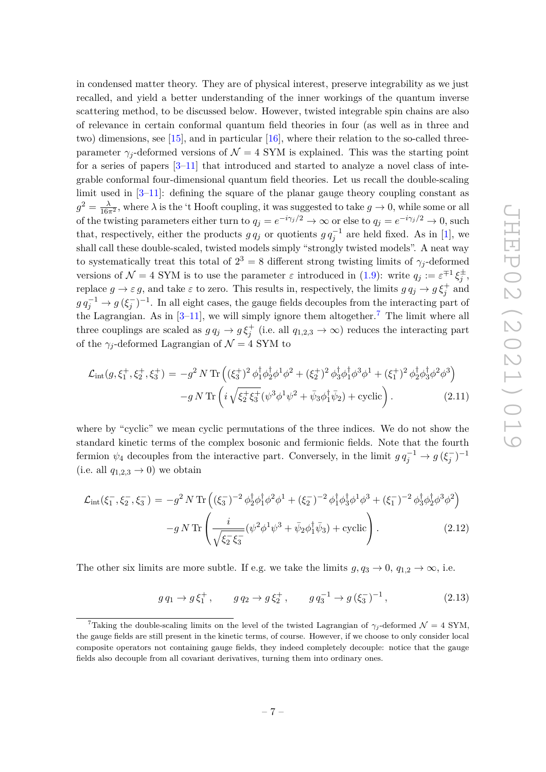in condensed matter theory. They are of physical interest, preserve integrability as we just recalled, and yield a better understanding of the inner workings of the quantum inverse scattering method, to be discussed below. However, twisted integrable spin chains are also of relevance in certain conformal quantum field theories in four (as well as in three and two) dimensions, see  $[15]$ , and in particular  $[16]$ , where their relation to the so-called threeparameter  $\gamma_i$ -deformed versions of  $\mathcal{N} = 4$  SYM is explained. This was the starting point for a series of papers  $[3-11]$  $[3-11]$  that introduced and started to analyze a novel class of integrable conformal four-dimensional quantum field theories. Let us recall the double-scaling limit used in [\[3](#page-34-2)[–11\]](#page-35-0): defining the square of the planar gauge theory coupling constant as  $g^2 = \frac{\lambda}{16\pi^2}$ , where  $\lambda$  is the 't Hooft coupling, it was suggested to take  $g \to 0$ , while some or all of the twisting parameters either turn to  $q_j = e^{-i\gamma_j/2} \to \infty$  or else to  $q_j = e^{-i\gamma_j/2} \to 0$ , such that, respectively, either the products  $g q_j$  or quotients  $g q_j^{-1}$  are held fixed. As in [\[1\]](#page-34-0), we shall call these double-scaled, twisted models simply "strongly twisted models". A neat way to systematically treat this total of  $2^3 = 8$  different strong twisting limits of  $\gamma_j$ -deformed versions of  $\mathcal{N} = 4$  SYM is to use the parameter  $\varepsilon$  introduced in [\(1.9\)](#page-3-4): write  $q_j := \varepsilon^{\mp 1} \xi_j^{\pm}$ , replace  $g \to \varepsilon g$ , and take  $\varepsilon$  to zero. This results in, respectively, the limits  $g q_j \to g \xi_j^+$  and  $g q_j^{-1} \to g (\xi_j^-)^{-1}$ . In all eight cases, the gauge fields decouples from the interacting part of the Lagrangian. As in  $[3-11]$  $[3-11]$ , we will simply ignore them altogether.<sup>[7](#page-7-0)</sup> The limit where all three couplings are scaled as  $g q_j \to g \xi_j^+$  (i.e. all  $q_{1,2,3} \to \infty$ ) reduces the interacting part of the  $\gamma_j$ -deformed Lagrangian of  $\mathcal{N}=4$  SYM to

$$
\mathcal{L}_{int}(g,\xi_1^+, \xi_2^+, \xi_3^+) = -g^2 N \operatorname{Tr} \left( (\xi_3^+)^2 \phi_1^{\dagger} \phi_2^{\dagger} \phi^2 + (\xi_2^+)^2 \phi_3^{\dagger} \phi_1^{\dagger} \phi^3 \phi^1 + (\xi_1^+)^2 \phi_2^{\dagger} \phi_3^{\dagger} \phi^2 \phi^3 \right) -g N \operatorname{Tr} \left( i \sqrt{\xi_2^+ \xi_3^+} (\psi^3 \phi^1 \psi^2 + \bar{\psi}_3 \phi_1^{\dagger} \bar{\psi}_2) + \text{cyclic} \right). \tag{2.11}
$$

where by "cyclic" we mean cyclic permutations of the three indices. We do not show the standard kinetic terms of the complex bosonic and fermionic fields. Note that the fourth fermion  $\psi_4$  decouples from the interactive part. Conversely, in the limit  $g q_j^{-1} \to g(\xi_j^-)^{-1}$ (i.e. all  $q_{1,2,3} \rightarrow 0$ ) we obtain

$$
\mathcal{L}_{int}(\xi_1^-,\xi_2^-,\xi_3^-) = -g^2 N \operatorname{Tr}\left((\xi_3^-)^{-2} \phi_2^{\dagger} \phi_1^{\dagger} \phi^2 \phi^1 + (\xi_2^-)^{-2} \phi_1^{\dagger} \phi_3^{\dagger} \phi^1 \phi^3 + (\xi_1^-)^{-2} \phi_3^{\dagger} \phi_2^{\dagger} \phi^3 \phi^2\right) -g N \operatorname{Tr}\left(\frac{i}{\sqrt{\xi_2^- \xi_3^-}} (\psi^2 \phi^1 \psi^3 + \bar{\psi}_2 \phi_1^{\dagger} \bar{\psi}_3) + \text{cyclic}\right).
$$
(2.12)

The other six limits are more subtle. If e.g. we take the limits  $g, q_3 \to 0, q_{1,2} \to \infty$ , i.e.

$$
g q_1 \to g \xi_1^+, \qquad g q_2 \to g \xi_2^+, \qquad g q_3^{-1} \to g (\xi_3^-)^{-1},
$$
 (2.13)

<span id="page-7-0"></span><sup>&</sup>lt;sup>7</sup>Taking the double-scaling limits on the level of the twisted Lagrangian of  $\gamma_i$ -deformed  $\mathcal{N} = 4$  SYM, the gauge fields are still present in the kinetic terms, of course. However, if we choose to only consider local composite operators not containing gauge fields, they indeed completely decouple: notice that the gauge fields also decouple from all covariant derivatives, turning them into ordinary ones.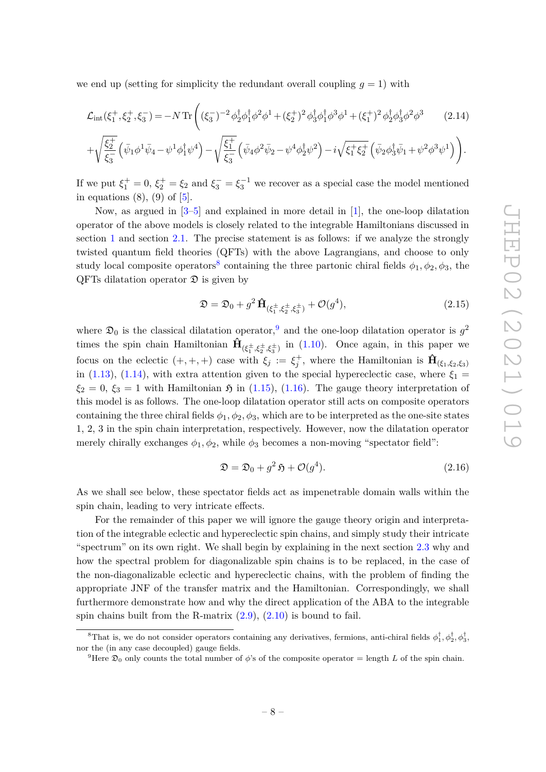we end up (setting for simplicity the redundant overall coupling  $q = 1$ ) with

$$
\mathcal{L}_{int}(\xi_1^+, \xi_2^+, \xi_3^-) = -N \operatorname{Tr} \left( (\xi_3^-)^{-2} \phi_2^{\dagger} \phi_1^{\dagger} \phi^2 \phi^1 + (\xi_2^+)^2 \phi_3^{\dagger} \phi_1^{\dagger} \phi^3 \phi^1 + (\xi_1^+)^2 \phi_2^{\dagger} \phi_3^{\dagger} \phi^2 \phi^3 \right) \tag{2.14}
$$

$$
+\sqrt{\frac{\xi_2^+}{\xi_3^-}}\left(\bar{\psi}_1\phi^1\bar{\psi}_4-\psi^1\phi_1^\dagger\psi^4\right)-\sqrt{\frac{\xi_1^+}{\xi_3^-}}\left(\bar{\psi}_4\phi^2\bar{\psi}_2-\psi^4\phi_2^\dagger\psi^2\right)-i\sqrt{\xi_1^+\xi_2^+}\left(\bar{\psi}_2\phi_3^\dagger\bar{\psi}_1+\psi^2\phi^3\psi^1\right)\bigg).
$$

If we put  $\xi_1^+ = 0$ ,  $\xi_2^+ = \xi_2$  and  $\xi_3^- = \xi_3^{-1}$  we recover as a special case the model mentioned in equations  $(8)$ ,  $(9)$  of  $[5]$ .

Now, as argued in [\[3–](#page-34-2)[5\]](#page-34-3) and explained in more detail in [\[1\]](#page-34-0), the one-loop dilatation operator of the above models is closely related to the integrable Hamiltonians discussed in section [1](#page-1-0) and section [2.1.](#page-4-1) The precise statement is as follows: if we analyze the strongly twisted quantum field theories (QFTs) with the above Lagrangians, and choose to only study local composite operators<sup>[8](#page-8-0)</sup> containing the three partonic chiral fields  $\phi_1, \phi_2, \phi_3$ , the  $QFTs$  dilatation operator  $\mathfrak D$  is given by

$$
\mathfrak{D} = \mathfrak{D}_0 + g^2 \, \hat{\mathbf{H}}_{(\xi_1^{\pm}, \xi_2^{\pm}, \xi_3^{\pm})} + \mathcal{O}(g^4), \tag{2.15}
$$

where  $\mathfrak{D}_0$  is the classical dilatation operator,<sup>[9](#page-8-1)</sup> and the one-loop dilatation operator is  $g^2$ times the spin chain Hamiltonian  $\mathbf{\hat{H}}_{(\xi_1^{\pm}, \xi_2^{\pm}, \xi_3^{\pm})}$  in [\(1.10\)](#page-3-5). Once again, in this paper we focus on the eclectic  $(+, +, +)$  case with  $\xi_j := \xi_j^+$ , where the Hamiltonian is  $\mathbf{\hat{H}}_{(\xi_1,\xi_2,\xi_3)}$ in [\(1.13\)](#page-3-2), [\(1.14\)](#page-3-3), with extra attention given to the special hypereclectic case, where  $\xi_1 =$  $\xi_2 = 0, \xi_3 = 1$  with Hamiltonian 5 in [\(1.15\)](#page-4-3), [\(1.16\)](#page-4-4). The gauge theory interpretation of this model is as follows. The one-loop dilatation operator still acts on composite operators containing the three chiral fields  $\phi_1, \phi_2, \phi_3$ , which are to be interpreted as the one-site states 1, 2, 3 in the spin chain interpretation, respectively. However, now the dilatation operator merely chirally exchanges  $\phi_1, \phi_2$ , while  $\phi_3$  becomes a non-moving "spectator field":

$$
\mathfrak{D} = \mathfrak{D}_0 + g^2 \mathfrak{H} + \mathcal{O}(g^4). \tag{2.16}
$$

As we shall see below, these spectator fields act as impenetrable domain walls within the spin chain, leading to very intricate effects.

For the remainder of this paper we will ignore the gauge theory origin and interpretation of the integrable eclectic and hypereclectic spin chains, and simply study their intricate "spectrum" on its own right. We shall begin by explaining in the next section [2.3](#page-9-0) why and how the spectral problem for diagonalizable spin chains is to be replaced, in the case of the non-diagonalizable eclectic and hypereclectic chains, with the problem of finding the appropriate JNF of the transfer matrix and the Hamiltonian. Correspondingly, we shall furthermore demonstrate how and why the direct application of the ABA to the integrable spin chains built from the R-matrix  $(2.9)$ ,  $(2.10)$  is bound to fail.

<span id="page-8-0"></span><sup>&</sup>lt;sup>8</sup>That is, we do not consider operators containing any derivatives, fermions, anti-chiral fields  $\phi_1^{\dagger}, \phi_2^{\dagger}, \phi_3^{\dagger}$ , nor the (in any case decoupled) gauge fields.

<span id="page-8-1"></span><sup>&</sup>lt;sup>9</sup>Here  $\mathfrak{D}_0$  only counts the total number of  $\phi$ 's of the composite operator = length *L* of the spin chain.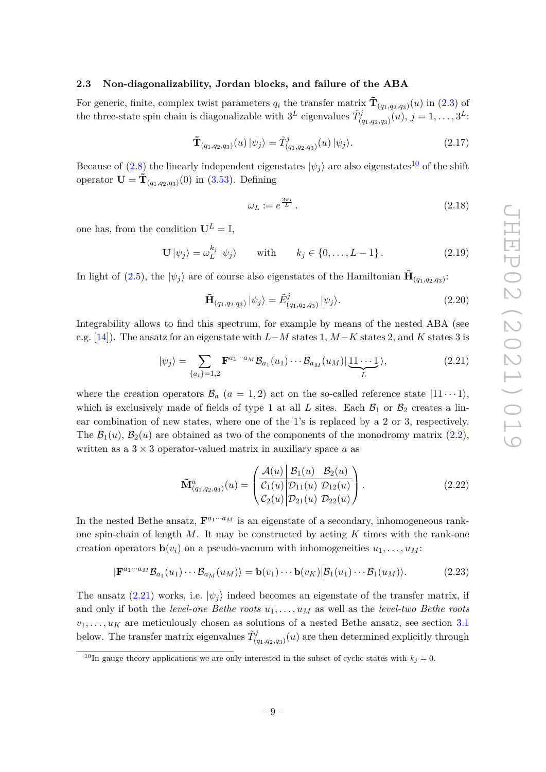### <span id="page-9-0"></span>**2.3 Non-diagonalizability, Jordan blocks, and failure of the ABA**

For generic, finite, complex twist parameters  $q_i$  the transfer matrix  $\tilde{\bf T}_{(q_1,q_2,q_3)}(u)$  in [\(2.3\)](#page-5-4) of the three-state spin chain is diagonalizable with  $3^L$  eigenvalues  $\tilde{T}^j_{(q_1,q_2,q_3)}(u), j = 1, \ldots, 3^L$ :

<span id="page-9-5"></span>
$$
\tilde{\mathbf{T}}_{(q_1, q_2, q_3)}(u) \, |\psi_j\rangle = \tilde{T}^j_{(q_1, q_2, q_3)}(u) \, |\psi_j\rangle. \tag{2.17}
$$

Because of [\(2.8\)](#page-6-3) the linearly independent eigenstates  $|\psi_i\rangle$  are also eigenstates<sup>[10](#page-9-1)</sup> of the shift operator  $U = \tilde{T}_{(q_1, q_2, q_3)}(0)$  in [\(3.53\)](#page-20-1). Defining

<span id="page-9-7"></span>
$$
\omega_L := e^{\frac{2\pi i}{L}}.
$$
\n
$$
(2.18)
$$

one has, from the condition  $U^L = \mathbb{I}$ ,

<span id="page-9-4"></span>
$$
\mathbf{U} \left| \psi_j \right\rangle = \omega_L^{k_j} \left| \psi_j \right\rangle \quad \text{with} \quad k_j \in \{0, \dots, L-1\} \,. \tag{2.19}
$$

In light of [\(2.5\)](#page-5-2), the  $|\psi_j\rangle$  are of course also eigenstates of the Hamiltonian  $\mathbf{\tilde{H}}_{(q_1,q_2,q_3)}$ :

<span id="page-9-3"></span>
$$
\tilde{\mathbf{H}}_{(q_1, q_2, q_3)} | \psi_j \rangle = \tilde{E}^j_{(q_1, q_2, q_3)} | \psi_j \rangle. \tag{2.20}
$$

Integrability allows to find this spectrum, for example by means of the nested ABA (see e.g. [\[14\]](#page-35-3)). The ansatz for an eigenstate with *L*−*M* states 1, *M*−*K* states 2, and *K* states 3 is

<span id="page-9-2"></span>
$$
|\psi_j\rangle = \sum_{\{a_i\}=1,2} \mathbf{F}^{a_1 \cdots a_M} \mathcal{B}_{a_1}(u_1) \cdots \mathcal{B}_{a_M}(u_M) | \underbrace{11 \cdots 1}_{L} \rangle, \tag{2.21}
$$

where the creation operators  $\mathcal{B}_a$  ( $a = 1, 2$ ) act on the so-called reference state  $|11 \cdots 1\rangle$ , which is exclusively made of fields of type 1 at all L sites. Each  $\mathcal{B}_1$  or  $\mathcal{B}_2$  creates a linear combination of new states, where one of the 1's is replaced by a 2 or 3, respectively. The  $\mathcal{B}_1(u)$ ,  $\mathcal{B}_2(u)$  are obtained as two of the components of the monodromy matrix [\(2.2\)](#page-5-5), written as a  $3 \times 3$  operator-valued matrix in auxiliary space a as

$$
\tilde{\mathbf{M}}_{(q_1,q_2,q_3)}^a(u) = \begin{pmatrix} \mathcal{A}(u) & \mathcal{B}_1(u) & \mathcal{B}_2(u) \\ \hline \mathcal{C}_1(u) & \mathcal{D}_{11}(u) & \mathcal{D}_{12}(u) \\ \hline \mathcal{C}_2(u) & \mathcal{D}_{21}(u) & \mathcal{D}_{22}(u) \end{pmatrix} . \tag{2.22}
$$

In the nested Bethe ansatz,  $\mathbf{F}^{a_1 \cdots a_M}$  is an eigenstate of a secondary, inhomogeneous rankone spin-chain of length *M*. It may be constructed by acting *K* times with the rank-one creation operators  $\mathbf{b}(v_i)$  on a pseudo-vacuum with inhomogeneities  $u_1, \ldots, u_M$ :

<span id="page-9-6"></span>
$$
|\mathbf{F}^{a_1 \cdots a_M} \mathcal{B}_{a_1}(u_1) \cdots \mathcal{B}_{a_M}(u_M)\rangle = \mathbf{b}(v_1) \cdots \mathbf{b}(v_K) |\mathcal{B}_1(u_1) \cdots \mathcal{B}_1(u_M)\rangle.
$$
 (2.23)

The ansatz [\(2.21\)](#page-9-2) works, i.e.  $|\psi_j\rangle$  indeed becomes an eigenstate of the transfer matrix, if and only if both the *level-one Bethe roots u*1*, . . . , u<sup>M</sup>* as well as the *level-two Bethe roots*  $v_1, \ldots, u_K$  are meticulously chosen as solutions of a nested Bethe ansatz, see section [3.1](#page-12-1) below. The transfer matrix eigenvalues  $\tilde{T}^j_{(q_1,q_2,q_3)}(u)$  are then determined explicitly through

<span id="page-9-1"></span><sup>&</sup>lt;sup>10</sup>In gauge theory applications we are only interested in the subset of cyclic states with  $k_j = 0$ .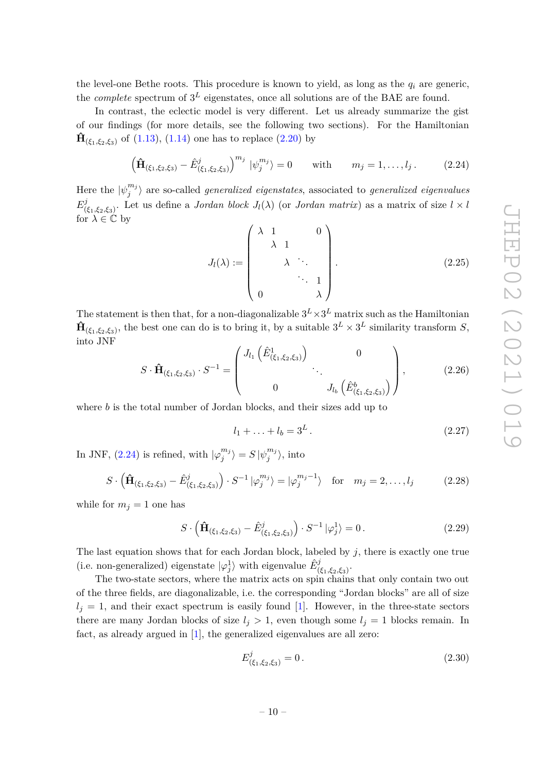the level-one Bethe roots. This procedure is known to yield, as long as the  $q_i$  are generic, the *complete* spectrum of 3 *<sup>L</sup>* eigenstates, once all solutions are of the BAE are found.

In contrast, the eclectic model is very different. Let us already summarize the gist of our findings (for more details, see the following two sections). For the Hamiltonian  $\mathbf{\hat{H}}_{(\xi_1,\xi_2,\xi_3)}$  of  $(1.13)$ ,  $(1.14)$  one has to replace  $(2.20)$  by

<span id="page-10-0"></span>
$$
\left(\hat{\mathbf{H}}_{(\xi_1,\xi_2,\xi_3)} - \hat{E}^j_{(\xi_1,\xi_2,\xi_3)}\right)^{m_j} |\psi_j^{m_j}\rangle = 0 \quad \text{with} \quad m_j = 1,\dots, l_j. \quad (2.24)
$$

Here the  $|\psi_j^{m_j}|$  $\binom{m_j}{j}$  are so-called *generalized eigenstates*, associated to *generalized eigenvalues*  $E^j_\ell$  $(\xi_1, \xi_2, \xi_3)$ . Let us define a *Jordan block*  $J_l(\lambda)$  (or *Jordan matrix*) as a matrix of size  $l \times l$ for  $\lambda \in \mathbb{C}$  by

<span id="page-10-3"></span>
$$
J_l(\lambda) := \begin{pmatrix} \lambda & 1 & & & 0 \\ & \lambda & 1 & & \\ & & \lambda & \ddots & \\ & & & \ddots & 1 \\ 0 & & & & \lambda \end{pmatrix} .
$$
 (2.25)

The statement is then that, for a non-diagonalizable  $3^L \times 3^L$  matrix such as the Hamiltonian  $\mathbf{\hat{H}}_{(\xi_1,\xi_2,\xi_3)}$ , the best one can do is to bring it, by a suitable  $3^L \times 3^L$  similarity transform *S*, into JNF

<span id="page-10-2"></span>
$$
S \cdot \hat{\mathbf{H}}_{(\xi_1, \xi_2, \xi_3)} \cdot S^{-1} = \begin{pmatrix} J_{l_1} \left( \hat{E}^1_{(\xi_1, \xi_2, \xi_3)} \right) & 0 \\ 0 & J_{l_b} \left( \hat{E}^b_{(\xi_1, \xi_2, \xi_3)} \right) \end{pmatrix}, \quad (2.26)
$$

where *b* is the total number of Jordan blocks, and their sizes add up to

$$
l_1 + \ldots + l_b = 3^L. \tag{2.27}
$$

In JNF,  $(2.24)$  is refined, with  $|\varphi_j^{m_j}|$  $\langle j^{m_j} \rangle = S | \psi_j^{m_j} \rangle$  $\binom{m_j}{j}$ , into

$$
S \cdot \left( \hat{\mathbf{H}}_{(\xi_1, \xi_2, \xi_3)} - \hat{E}^j_{(\xi_1, \xi_2, \xi_3)} \right) \cdot S^{-1} \left| \varphi_j^{m_j} \right\rangle = \left| \varphi_j^{m_j - 1} \right\rangle \quad \text{for} \quad m_j = 2, \dots, l_j \tag{2.28}
$$

while for  $m_j = 1$  one has

$$
S \cdot \left( \hat{\mathbf{H}}_{(\xi_1, \xi_2, \xi_3)} - \hat{E}^j_{(\xi_1, \xi_2, \xi_3)} \right) \cdot S^{-1} |\varphi_j^1 \rangle = 0. \tag{2.29}
$$

The last equation shows that for each Jordan block, labeled by *j*, there is exactly one true (i.e. non-generalized) eigenstate  $|\varphi_j^1\rangle$  with eigenvalue  $\hat{E}^j_{(\xi_1,\xi_2,\xi_3)}$ .

The two-state sectors, where the matrix acts on spin chains that only contain two out of the three fields, are diagonalizable, i.e. the corresponding "Jordan blocks" are all of size  $l_i = 1$ , and their exact spectrum is easily found [\[1\]](#page-34-0). However, in the three-state sectors there are many Jordan blocks of size  $l_j > 1$ , even though some  $l_j = 1$  blocks remain. In fact, as already argued in [\[1\]](#page-34-0), the generalized eigenvalues are all zero:

<span id="page-10-1"></span>
$$
E^j_{(\xi_1,\xi_2,\xi_3)} = 0.
$$
\n(2.30)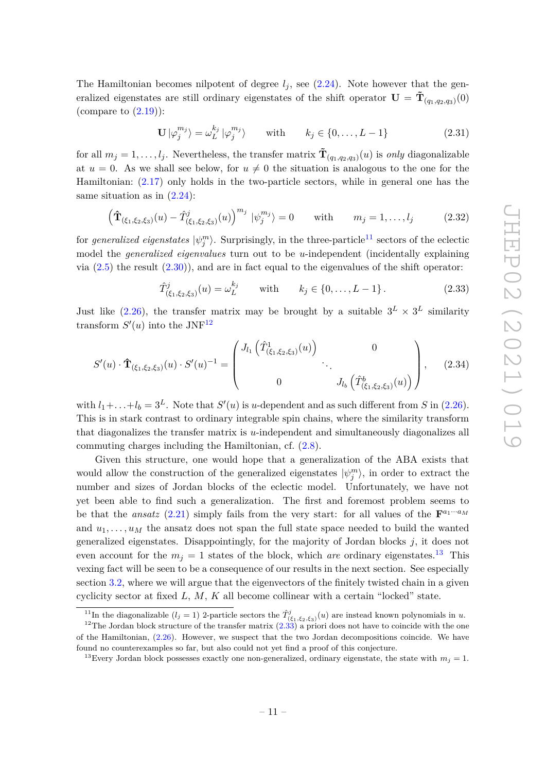The Hamiltonian becomes nilpotent of degree  $l_j$ , see  $(2.24)$ . Note however that the generalized eigenstates are still ordinary eigenstates of the shift operator  $\mathbf{U} = \tilde{\mathbf{T}}_{(q_1, q_2, q_3)}(0)$ (compare to  $(2.19)$ ):

$$
\mathbf{U} \left| \varphi_j^{m_j} \right\rangle = \omega_L^{k_j} \left| \varphi_j^{m_j} \right\rangle \quad \text{with} \quad k_j \in \{0, \dots, L - 1\} \tag{2.31}
$$

for all  $m_j = 1, \ldots, l_j$ . Nevertheless, the transfer matrix  $\tilde{\mathbf{T}}_{(q_1, q_2, q_3)}(u)$  is *only* diagonalizable at  $u = 0$ . As we shall see below, for  $u \neq 0$  the situation is analogous to the one for the Hamiltonian: [\(2.17\)](#page-9-5) only holds in the two-particle sectors, while in general one has the same situation as in  $(2.24)$ :

<span id="page-11-4"></span>
$$
\left(\hat{\mathbf{T}}_{(\xi_1,\xi_2,\xi_3)}(u) - \hat{T}^j_{(\xi_1,\xi_2,\xi_3)}(u)\right)^{m_j} |\psi_j^{m_j}\rangle = 0 \quad \text{with} \quad m_j = 1,\dots, l_j \quad (2.32)
$$

for *generalized eigenstates*  $|\psi_j^m\rangle$ . Surprisingly, in the three-particle<sup>[11](#page-11-0)</sup> sectors of the eclectic model the *generalized eigenvalues* turn out to be *u*-independent (incidentally explaining via  $(2.5)$  the result  $(2.30)$ , and are in fact equal to the eigenvalues of the shift operator:

<span id="page-11-3"></span>
$$
\hat{T}^j_{(\xi_1,\xi_2,\xi_3)}(u) = \omega_L^{k_j} \quad \text{with} \quad k_j \in \{0,\dots,L-1\}.
$$
\n(2.33)

Just like  $(2.26)$ , the transfer matrix may be brought by a suitable  $3^L \times 3^L$  similarity transform  $S'(u)$  into the JNF<sup>[12](#page-11-1)</sup>

<span id="page-11-5"></span>
$$
S'(u) \cdot \hat{\mathbf{T}}_{(\xi_1, \xi_2, \xi_3)}(u) \cdot S'(u)^{-1} = \begin{pmatrix} J_{l_1} \left( \hat{T}^1_{(\xi_1, \xi_2, \xi_3)}(u) \right) & 0 \\ 0 & J_{l_b} \left( \hat{T}^b_{(\xi_1, \xi_2, \xi_3)}(u) \right) \end{pmatrix}, \quad (2.34)
$$

with  $l_1 + \ldots + l_b = 3^L$ . Note that  $S'(u)$  is *u*-dependent and as such different from *S* in [\(2.26\)](#page-10-2). This is in stark contrast to ordinary integrable spin chains, where the similarity transform that diagonalizes the transfer matrix is *u*-independent and simultaneously diagonalizes all commuting charges including the Hamiltonian, cf. [\(2.8\)](#page-6-3).

Given this structure, one would hope that a generalization of the ABA exists that would allow the construction of the generalized eigenstates  $|\psi_j^m\rangle$ , in order to extract the number and sizes of Jordan blocks of the eclectic model. Unfortunately, we have not yet been able to find such a generalization. The first and foremost problem seems to be that the *ansatz* [\(2.21\)](#page-9-2) simply fails from the very start: for all values of the  $\mathbf{F}^{a_1 \cdots a_M}$ and  $u_1, \ldots, u_M$  the ansatz does not span the full state space needed to build the wanted generalized eigenstates. Disappointingly, for the majority of Jordan blocks *j*, it does not even account for the  $m_j = 1$  states of the block, which *are* ordinary eigenstates.<sup>[13](#page-11-2)</sup> This vexing fact will be seen to be a consequence of our results in the next section. See especially section [3.2,](#page-20-0) where we will argue that the eigenvectors of the finitely twisted chain in a given cyclicity sector at fixed *L*, *M*, *K* all become collinear with a certain "locked" state.

<span id="page-11-1"></span><span id="page-11-0"></span><sup>&</sup>lt;sup>11</sup>In the diagonalizable  $(l_j = 1)$  2-particle sectors the  $\hat{T}^j_{(\xi_1,\xi_2,\xi_3)}(u)$  are instead known polynomials in *u*.

<sup>&</sup>lt;sup>12</sup>The Jordan block structure of the transfer matrix  $(2.33)$  a priori does not have to coincide with the one of the Hamiltonian, [\(2.26\)](#page-10-2). However, we suspect that the two Jordan decompositions coincide. We have found no counterexamples so far, but also could not yet find a proof of this conjecture.

<span id="page-11-2"></span><sup>&</sup>lt;sup>13</sup>Every Jordan block possesses exactly one non-generalized, ordinary eigenstate, the state with  $m_i = 1$ .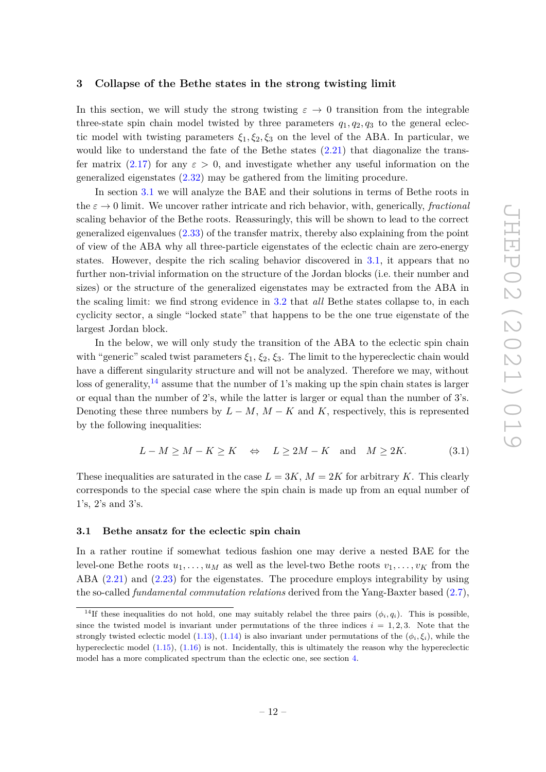#### <span id="page-12-0"></span>**3 Collapse of the Bethe states in the strong twisting limit**

In this section, we will study the strong twisting  $\varepsilon \to 0$  transition from the integrable three-state spin chain model twisted by three parameters  $q_1, q_2, q_3$  to the general eclectic model with twisting parameters  $\xi_1, \xi_2, \xi_3$  on the level of the ABA. In particular, we would like to understand the fate of the Bethe states  $(2.21)$  that diagonalize the trans-fer matrix [\(2.17\)](#page-9-5) for any  $\varepsilon > 0$ , and investigate whether any useful information on the generalized eigenstates [\(2.32\)](#page-11-4) may be gathered from the limiting procedure.

In section [3.1](#page-12-1) we will analyze the BAE and their solutions in terms of Bethe roots in the  $\varepsilon \to 0$  limit. We uncover rather intricate and rich behavior, with, generically, *fractional* scaling behavior of the Bethe roots. Reassuringly, this will be shown to lead to the correct generalized eigenvalues [\(2.33\)](#page-11-3) of the transfer matrix, thereby also explaining from the point of view of the ABA why all three-particle eigenstates of the eclectic chain are zero-energy states. However, despite the rich scaling behavior discovered in [3.1,](#page-12-1) it appears that no further non-trivial information on the structure of the Jordan blocks (i.e. their number and sizes) or the structure of the generalized eigenstates may be extracted from the ABA in the scaling limit: we find strong evidence in [3.2](#page-20-0) that *all* Bethe states collapse to, in each cyclicity sector, a single "locked state" that happens to be the one true eigenstate of the largest Jordan block.

In the below, we will only study the transition of the ABA to the eclectic spin chain with "generic" scaled twist parameters  $\xi_1, \xi_2, \xi_3$ . The limit to the hypereclectic chain would have a different singularity structure and will not be analyzed. Therefore we may, without loss of generality,  $14$  assume that the number of 1's making up the spin chain states is larger or equal than the number of 2's, while the latter is larger or equal than the number of 3's. Denoting these three numbers by  $L - M$ ,  $M - K$  and  $K$ , respectively, this is represented by the following inequalities:

<span id="page-12-3"></span>
$$
L - M \ge M - K \ge K \quad \Leftrightarrow \quad L \ge 2M - K \quad \text{and} \quad M \ge 2K. \tag{3.1}
$$

These inequalities are saturated in the case  $L = 3K$ ,  $M = 2K$  for arbitrary K. This clearly corresponds to the special case where the spin chain is made up from an equal number of 1's, 2's and 3's.

#### <span id="page-12-1"></span>**3.1 Bethe ansatz for the eclectic spin chain**

In a rather routine if somewhat tedious fashion one may derive a nested BAE for the level-one Bethe roots  $u_1, \ldots, u_M$  as well as the level-two Bethe roots  $v_1, \ldots, v_K$  from the ABA [\(2.21\)](#page-9-2) and [\(2.23\)](#page-9-6) for the eigenstates. The procedure employs integrability by using the so-called *fundamental commutation relations* derived from the Yang-Baxter based [\(2.7\)](#page-5-6),

<span id="page-12-2"></span><sup>&</sup>lt;sup>14</sup>If these inequalities do not hold, one may suitably relabel the three pairs  $(\phi_i, q_i)$ . This is possible, since the twisted model is invariant under permutations of the three indices  $i = 1, 2, 3$ . Note that the strongly twisted eclectic model [\(1.13\)](#page-3-2), [\(1.14\)](#page-3-3) is also invariant under permutations of the  $(\phi_i, \xi_i)$ , while the hypereclectic model  $(1.15)$ ,  $(1.16)$  is not. Incidentally, this is ultimately the reason why the hypereclectic model has a more complicated spectrum than the eclectic one, see section [4.](#page-25-0)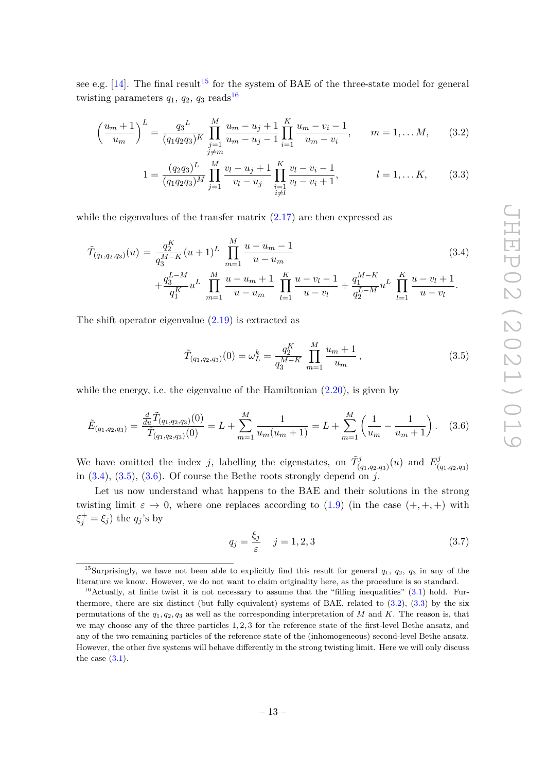see e.g. [\[14\]](#page-35-3). The final result<sup>[15](#page-13-0)</sup> for the system of BAE of the three-state model for general twisting parameters  $q_1$ ,  $q_2$ ,  $q_3$  reads<sup>[16](#page-13-1)</sup>

$$
\left(\frac{u_m+1}{u_m}\right)^L = \frac{q_3^L}{(q_1q_2q_3)^K} \prod_{\substack{j=1 \ j \neq m}}^M \frac{u_m - u_j + 1}{u_m - u_j - 1} \prod_{i=1}^K \frac{u_m - v_i - 1}{u_m - v_i}, \qquad m = 1, \dots M, \qquad (3.2)
$$

<span id="page-13-6"></span><span id="page-13-5"></span>
$$
1 = \frac{(q_2 q_3)^L}{(q_1 q_2 q_3)^M} \prod_{j=1}^M \frac{v_l - u_j + 1}{v_l - u_j} \prod_{\substack{i=1 \ i \neq l}}^K \frac{v_l - v_i - 1}{v_l - v_i + 1}, \qquad l = 1, \dots K, \qquad (3.3)
$$

while the eigenvalues of the transfer matrix  $(2.17)$  are then expressed as

<span id="page-13-2"></span>
$$
\tilde{T}_{(q_1, q_2, q_3)}(u) = \frac{q_2^K}{q_3^{M-K}} (u+1)^L \prod_{m=1}^M \frac{u-u_m-1}{u-u_m} + \frac{q_3^{L-M}}{q_1^K} u^L \prod_{m=1}^M \frac{u-u_m+1}{u-u_m} \prod_{l=1}^K \frac{u-v_l-1}{u-v_l} + \frac{q_1^{M-K}}{q_2^{L-M}} u^L \prod_{l=1}^K \frac{u-v_l+1}{u-v_l}.
$$
\n(3.4)

The shift operator eigenvalue  $(2.19)$  is extracted as

<span id="page-13-3"></span>
$$
\tilde{T}_{(q_1, q_2, q_3)}(0) = \omega_L^k = \frac{q_2^K}{q_3^{M-K}} \prod_{m=1}^M \frac{u_m + 1}{u_m},
$$
\n(3.5)

while the energy, i.e. the eigenvalue of the Hamiltonian  $(2.20)$ , is given by

<span id="page-13-4"></span>
$$
\tilde{E}_{(q_1,q_2,q_3)} = \frac{\frac{d}{du}\tilde{T}_{(q_1,q_2,q_3)}(0)}{\tilde{T}_{(q_1,q_2,q_3)}(0)} = L + \sum_{m=1}^{M} \frac{1}{u_m(u_m+1)} = L + \sum_{m=1}^{M} \left(\frac{1}{u_m} - \frac{1}{u_m+1}\right). \tag{3.6}
$$

We have omitted the index *j*, labelling the eigenstates, on  $\tilde{T}^j_{(q_1,q_2,q_3)}(u)$  and  $E^j_{(q_1,q_2,q_3)}(u)$ (*q*1*,q*2*,q*3) in  $(3.4)$ ,  $(3.5)$ ,  $(3.6)$ . Of course the Bethe roots strongly depend on *j*.

Let us now understand what happens to the BAE and their solutions in the strong twisting limit  $\varepsilon \to 0$ , where one replaces according to [\(1.9\)](#page-3-4) (in the case  $(+, +, +)$  with  $\xi_j^+ = \xi_j$ ) the  $q_j$ 's by

<span id="page-13-7"></span>
$$
q_j = \frac{\xi_j}{\varepsilon} \quad j = 1, 2, 3 \tag{3.7}
$$

<span id="page-13-0"></span><sup>&</sup>lt;sup>15</sup>Surprisingly, we have not been able to explicitly find this result for general  $q_1$ ,  $q_2$ ,  $q_3$  in any of the literature we know. However, we do not want to claim originality here, as the procedure is so standard.

<span id="page-13-1"></span><sup>&</sup>lt;sup>16</sup>Actually, at finite twist it is not necessary to assume that the "filling inequalities"  $(3.1)$  hold. Furthermore, there are six distinct (but fully equivalent) systems of BAE, related to [\(3.2\)](#page-13-5), [\(3.3\)](#page-13-6) by the six permutations of the *q*1*, q*2*, q*<sup>3</sup> as well as the corresponding interpretation of *M* and *K*. The reason is, that we may choose any of the three particles 1*,* 2*,* 3 for the reference state of the first-level Bethe ansatz, and any of the two remaining particles of the reference state of the (inhomogeneous) second-level Bethe ansatz. However, the other five systems will behave differently in the strong twisting limit. Here we will only discuss the case  $(3.1)$ .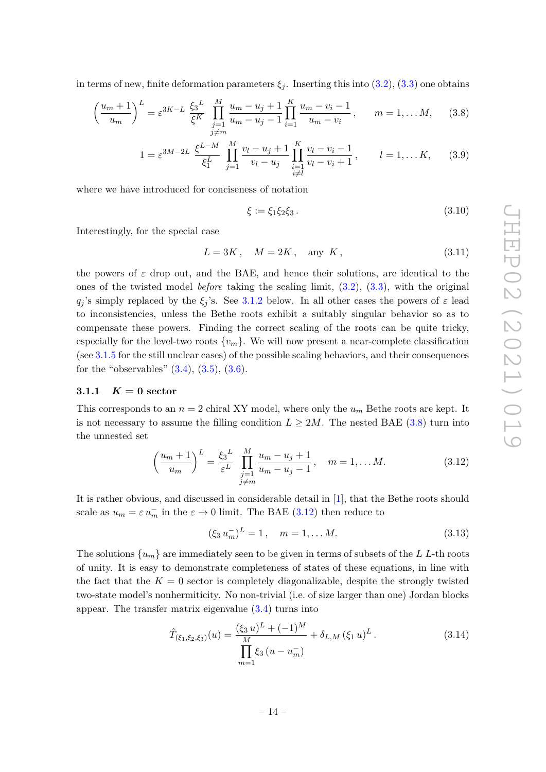in terms of new, finite deformation parameters  $\xi_i$ . Inserting this into  $(3.2)$ ,  $(3.3)$  one obtains

$$
\left(\frac{u_m+1}{u_m}\right)^L = \varepsilon^{3K-L} \frac{\xi_3^L}{\xi^K} \prod_{\substack{j=1 \ j \neq m}}^M \frac{u_m - u_j + 1}{u_m - u_j - 1} \prod_{i=1}^K \frac{u_m - v_i - 1}{u_m - v_i}, \qquad m = 1, \dots M, \tag{3.8}
$$

$$
1 = \varepsilon^{3M-2L} \frac{\xi^{L-M}}{\xi_1^L} \prod_{j=1}^M \frac{v_l - u_j + 1}{v_l - u_j} \prod_{\substack{i=1 \ i \neq l}}^K \frac{v_l - v_i - 1}{v_l - v_i + 1}, \qquad l = 1, \dots K, \qquad (3.9)
$$

where we have introduced for conciseness of notation

<span id="page-14-3"></span><span id="page-14-1"></span>
$$
\xi := \xi_1 \xi_2 \xi_3. \tag{3.10}
$$

Interestingly, for the special case

$$
L = 3K, \quad M = 2K, \quad \text{any } K,\tag{3.11}
$$

the powers of  $\varepsilon$  drop out, and the BAE, and hence their solutions, are identical to the ones of the twisted model *before* taking the scaling limit, [\(3.2\)](#page-13-5), [\(3.3\)](#page-13-6), with the original *q*<sub>*j*</sub>'s simply replaced by the *ξ*<sub>*j*</sub>'s. See [3.1.2](#page-15-0) below. In all other cases the powers of *ε* lead to inconsistencies, unless the Bethe roots exhibit a suitably singular behavior so as to compensate these powers. Finding the correct scaling of the roots can be quite tricky, especially for the level-two roots  $\{v_m\}$ . We will now present a near-complete classification (see [3.1.5](#page-19-0) for the still unclear cases) of the possible scaling behaviors, and their consequences for the "observables"  $(3.4)$ ,  $(3.5)$ ,  $(3.6)$ .

# <span id="page-14-0"></span>**3.1.1**  $K = 0$  **sector**

This corresponds to an  $n = 2$  chiral XY model, where only the  $u_m$  Bethe roots are kept. It is not necessary to assume the filling condition  $L \geq 2M$ . The nested BAE [\(3.8\)](#page-14-1) turn into the unnested set

<span id="page-14-2"></span>
$$
\left(\frac{u_m+1}{u_m}\right)^L = \frac{\xi_3^L}{\varepsilon^L} \prod_{\substack{j=1 \ j \neq m}}^M \frac{u_m - u_j + 1}{u_m - u_j - 1}, \quad m = 1, \dots M. \tag{3.12}
$$

It is rather obvious, and discussed in considerable detail in [\[1\]](#page-34-0), that the Bethe roots should scale as  $u_m = \varepsilon u_m^-$  in the  $\varepsilon \to 0$  limit. The BAE [\(3.12\)](#page-14-2) then reduce to

$$
(\xi_3 u_m^-)^L = 1, \quad m = 1, \dots M. \tag{3.13}
$$

The solutions  $\{u_m\}$  are immediately seen to be given in terms of subsets of the *L L*-th roots of unity. It is easy to demonstrate completeness of states of these equations, in line with the fact that the  $K = 0$  sector is completely diagonalizable, despite the strongly twisted two-state model's nonhermiticity. No non-trivial (i.e. of size larger than one) Jordan blocks appear. The transfer matrix eigenvalue [\(3.4\)](#page-13-2) turns into

$$
\hat{T}_{(\xi_1,\xi_2,\xi_3)}(u) = \frac{(\xi_3 u)^L + (-1)^M}{\prod_{m=1}^M \xi_3 (u - u_m^-)} + \delta_{L,M} (\xi_1 u)^L.
$$
\n(3.14)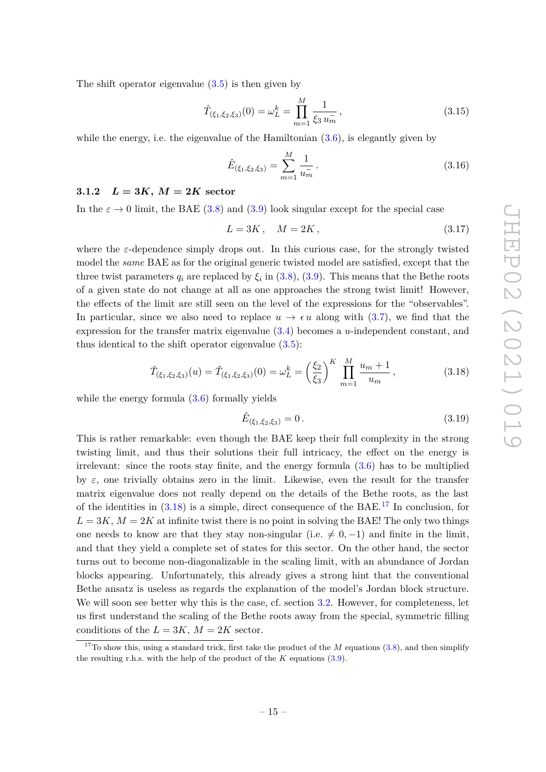The shift operator eigenvalue  $(3.5)$  is then given by

$$
\hat{T}_{(\xi_1,\xi_2,\xi_3)}(0) = \omega_L^k = \prod_{m=1}^M \frac{1}{\xi_3 u_m},
$$
\n(3.15)

while the energy, i.e. the eigenvalue of the Hamiltonian  $(3.6)$ , is elegantly given by

$$
\hat{E}_{(\xi_1,\xi_2,\xi_3)} = \sum_{m=1}^{M} \frac{1}{u_m} \,. \tag{3.16}
$$

# <span id="page-15-0"></span>**3.1.2**  $L = 3K, M = 2K$  **sector**

In the  $\varepsilon \to 0$  limit, the BAE [\(3.8\)](#page-14-1) and [\(3.9\)](#page-14-3) look singular except for the special case

$$
L = 3K, \quad M = 2K,\tag{3.17}
$$

where the  $\varepsilon$ -dependence simply drops out. In this curious case, for the strongly twisted model the *same* BAE as for the original generic twisted model are satisfied, except that the three twist parameters  $q_i$  are replaced by  $\xi_i$  in [\(3.8\)](#page-14-1), [\(3.9\)](#page-14-3). This means that the Bethe roots of a given state do not change at all as one approaches the strong twist limit! However, the effects of the limit are still seen on the level of the expressions for the "observables". In particular, since we also need to replace  $u \to \epsilon u$  along with [\(3.7\)](#page-13-7), we find that the expression for the transfer matrix eigenvalue [\(3.4\)](#page-13-2) becomes a *u*-independent constant, and thus identical to the shift operator eigenvalue  $(3.5)$ :

<span id="page-15-1"></span>
$$
\hat{T}_{(\xi_1,\xi_2,\xi_3)}(u) = \hat{T}_{(\xi_1,\xi_2,\xi_3)}(0) = \omega_L^k = \left(\frac{\xi_2}{\xi_3}\right)^K \prod_{m=1}^M \frac{u_m+1}{u_m},\tag{3.18}
$$

while the energy formula [\(3.6\)](#page-13-4) formally yields

$$
\hat{E}_{(\xi_1,\xi_2,\xi_3)} = 0. \tag{3.19}
$$

This is rather remarkable: even though the BAE keep their full complexity in the strong twisting limit, and thus their solutions their full intricacy, the effect on the energy is irrelevant: since the roots stay finite, and the energy formula [\(3.6\)](#page-13-4) has to be multiplied by  $\varepsilon$ , one trivially obtains zero in the limit. Likewise, even the result for the transfer matrix eigenvalue does not really depend on the details of the Bethe roots, as the last of the identities in  $(3.18)$  is a simple, direct consequence of the BAE.<sup>[17](#page-15-2)</sup> In conclusion, for  $L = 3K$ ,  $M = 2K$  at infinite twist there is no point in solving the BAE! The only two things one needs to know are that they stay non-singular (i.e.  $\neq 0, -1$ ) and finite in the limit, and that they yield a complete set of states for this sector. On the other hand, the sector turns out to become non-diagonalizable in the scaling limit, with an abundance of Jordan blocks appearing. Unfortunately, this already gives a strong hint that the conventional Bethe ansatz is useless as regards the explanation of the model's Jordan block structure. We will soon see better why this is the case, cf. section [3.2.](#page-20-0) However, for completeness, let us first understand the scaling of the Bethe roots away from the special, symmetric filling conditions of the  $L = 3K$ ,  $M = 2K$  sector.

<span id="page-15-2"></span><sup>&</sup>lt;sup>17</sup>To show this, using a standard trick, first take the product of the *M* equations  $(3.8)$ , and then simplify the resulting r.h.s. with the help of the product of the  $K$  equations  $(3.9)$ .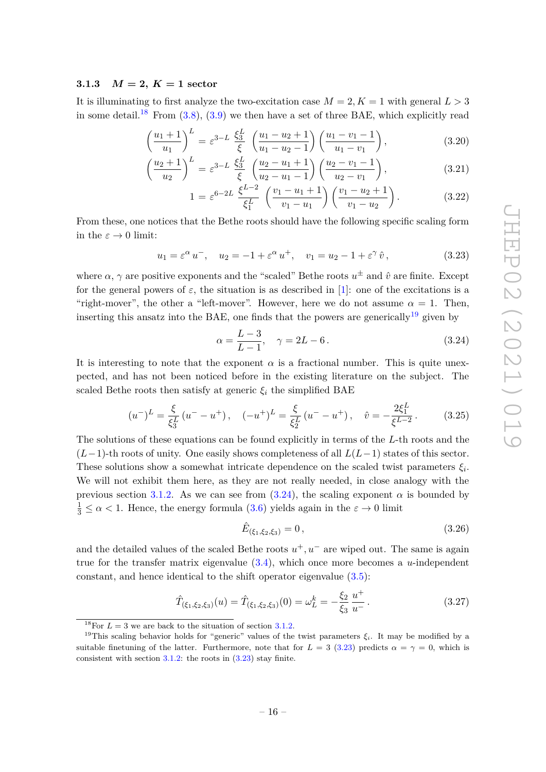## <span id="page-16-0"></span>**3.1.3**  $M = 2, K = 1$  **sector**

It is illuminating to first analyze the two-excitation case  $M = 2, K = 1$  with general  $L > 3$ in some detail.<sup>[18](#page-16-1)</sup> From  $(3.8)$ ,  $(3.9)$  we then have a set of three BAE, which explicitly read

$$
\left(\frac{u_1+1}{u_1}\right)^L = \varepsilon^{3-L} \frac{\xi_3^L}{\xi} \left(\frac{u_1-u_2+1}{u_1-u_2-1}\right) \left(\frac{u_1-v_1-1}{u_1-v_1}\right),\tag{3.20}
$$

$$
\left(\frac{u_2+1}{u_2}\right)^L = \varepsilon^{3-L} \frac{\xi_3^L}{\xi} \left(\frac{u_2-u_1+1}{u_2-u_1-1}\right) \left(\frac{u_2-v_1-1}{u_2-v_1}\right),\tag{3.21}
$$

$$
1 = \varepsilon^{6-2L} \frac{\xi^{L-2}}{\xi_1^L} \left( \frac{v_1 - u_1 + 1}{v_1 - u_1} \right) \left( \frac{v_1 - u_2 + 1}{v_1 - u_2} \right). \tag{3.22}
$$

From these, one notices that the Bethe roots should have the following specific scaling form in the  $\varepsilon \to 0$  limit:

<span id="page-16-4"></span>
$$
u_1 = \varepsilon^{\alpha} u^-, \quad u_2 = -1 + \varepsilon^{\alpha} u^+, \quad v_1 = u_2 - 1 + \varepsilon^{\gamma} \hat{v}, \tag{3.23}
$$

where  $\alpha$ ,  $\gamma$  are positive exponents and the "scaled" Bethe roots  $u^{\pm}$  and  $\hat{v}$  are finite. Except for the general powers of  $\varepsilon$ , the situation is as described in [\[1\]](#page-34-0): one of the excitations is a "right-mover", the other a "left-mover". However, here we do not assume  $\alpha = 1$ . Then, inserting this ansatz into the BAE, one finds that the powers are generically<sup>[19](#page-16-2)</sup> given by

<span id="page-16-3"></span>
$$
\alpha = \frac{L-3}{L-1}, \quad \gamma = 2L - 6. \tag{3.24}
$$

It is interesting to note that the exponent  $\alpha$  is a fractional number. This is quite unexpected, and has not been noticed before in the existing literature on the subject. The scaled Bethe roots then satisfy at generic  $\xi_i$  the simplified BAE

<span id="page-16-5"></span>
$$
(u^{-})^{L} = \frac{\xi}{\xi_{3}^{L}} \left( u^{-} - u^{+} \right), \quad (-u^{+})^{L} = \frac{\xi}{\xi_{2}^{L}} \left( u^{-} - u^{+} \right), \quad \hat{v} = -\frac{2\xi_{1}^{L}}{\xi_{2}^{L-2}}. \tag{3.25}
$$

The solutions of these equations can be found explicitly in terms of the *L*-th roots and the (*L*−1)-th roots of unity. One easily shows completeness of all *L*(*L*−1) states of this sector. These solutions show a somewhat intricate dependence on the scaled twist parameters *ξ<sup>i</sup>* . We will not exhibit them here, as they are not really needed, in close analogy with the previous section [3.1.2.](#page-15-0) As we can see from  $(3.24)$ , the scaling exponent  $\alpha$  is bounded by  $\frac{1}{3} \leq \alpha < 1$ . Hence, the energy formula [\(3.6\)](#page-13-4) yields again in the  $\varepsilon \to 0$  limit

$$
\hat{E}_{(\xi_1,\xi_2,\xi_3)} = 0, \tag{3.26}
$$

and the detailed values of the scaled Bethe roots  $u^+, u^-$  are wiped out. The same is again true for the transfer matrix eigenvalue [\(3.4\)](#page-13-2), which once more becomes a *u*-independent constant, and hence identical to the shift operator eigenvalue [\(3.5\)](#page-13-3):

<span id="page-16-6"></span>
$$
\hat{T}_{(\xi_1,\xi_2,\xi_3)}(u) = \hat{T}_{(\xi_1,\xi_2,\xi_3)}(0) = \omega_L^k = -\frac{\xi_2}{\xi_3} \frac{u^+}{u^-}.
$$
\n(3.27)

<span id="page-16-2"></span><span id="page-16-1"></span><sup>&</sup>lt;sup>18</sup>For  $L = 3$  we are back to the situation of section [3.1.2.](#page-15-0)

<sup>&</sup>lt;sup>19</sup>This scaling behavior holds for "generic" values of the twist parameters  $\xi_i$ . It may be modified by a suitable finetuning of the latter. Furthermore, note that for  $L = 3$  [\(3.23\)](#page-16-4) predicts  $\alpha = \gamma = 0$ , which is consistent with section  $3.1.2$ : the roots in  $(3.23)$  stay finite.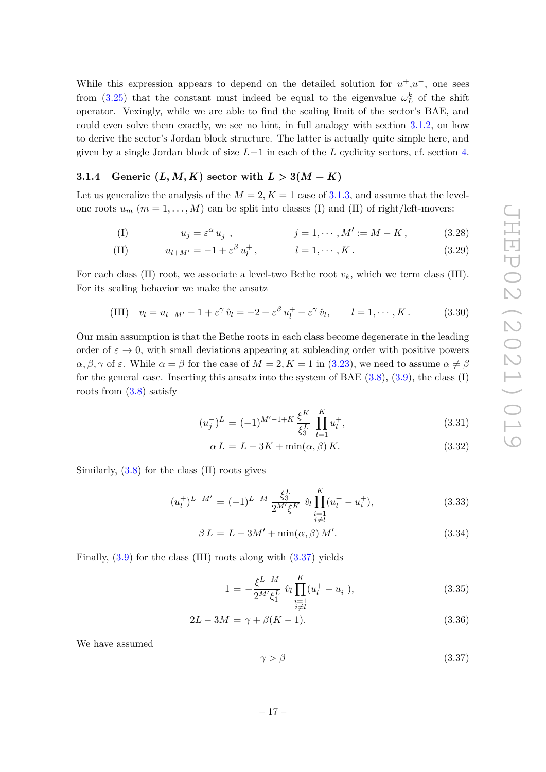While this expression appears to depend on the detailed solution for  $u^+, u^-$ , one sees from [\(3.25\)](#page-16-5) that the constant must indeed be equal to the eigenvalue  $\omega_L^k$  of the shift operator. Vexingly, while we are able to find the scaling limit of the sector's BAE, and could even solve them exactly, we see no hint, in full analogy with section [3.1.2,](#page-15-0) on how to derive the sector's Jordan block structure. The latter is actually quite simple here, and given by a single Jordan block of size *L*−1 in each of the *L* cyclicity sectors, cf. section [4.](#page-25-0)

## <span id="page-17-0"></span>**3.1.4** Generic  $(L, M, K)$  sector with  $L > 3(M - K)$

Let us generalize the analysis of the  $M = 2, K = 1$  case of [3.1.3,](#page-16-0) and assume that the levelone roots  $u_m$  ( $m = 1, \ldots, M$ ) can be split into classes (I) and (II) of right/left-movers:

(I) 
$$
u_j = \varepsilon^{\alpha} u_j^-,
$$
  $j = 1, \cdots, M' := M - K,$  (3.28)

(II) 
$$
u_{l+M'} = -1 + \varepsilon^{\beta} u_l^+, \qquad l = 1, \cdots, K.
$$
 (3.29)

For each class (II) root, we associate a level-two Bethe root  $v_k$ , which we term class (III). For its scaling behavior we make the ansatz

<span id="page-17-7"></span>(III) 
$$
v_l = u_{l+M'} - 1 + \varepsilon^\gamma \hat{v}_l = -2 + \varepsilon^\beta u_l^+ + \varepsilon^\gamma \hat{v}_l, \qquad l = 1, \cdots, K.
$$
 (3.30)

Our main assumption is that the Bethe roots in each class become degenerate in the leading order of  $\varepsilon \to 0$ , with small deviations appearing at subleading order with positive powers  $\alpha$ ,  $\beta$ ,  $\gamma$  of  $\varepsilon$ . While  $\alpha = \beta$  for the case of  $M = 2$ ,  $K = 1$  in [\(3.23\)](#page-16-4), we need to assume  $\alpha \neq \beta$ for the general case. Inserting this ansatz into the system of BAE  $(3.8)$ ,  $(3.9)$ , the class  $(1)$ roots from  $(3.8)$  satisfy

<span id="page-17-6"></span><span id="page-17-5"></span><span id="page-17-4"></span>
$$
(u_j^-)^L = (-1)^{M'-1+K} \frac{\xi^K}{\xi_3^L} \prod_{l=1}^K u_l^+, \qquad (3.31)
$$

$$
\alpha L = L - 3K + \min(\alpha, \beta) K.
$$
\n(3.32)

Similarly,  $(3.8)$  for the class  $(II)$  roots gives

<span id="page-17-2"></span>
$$
(u_l^+)^{L-M'} = (-1)^{L-M} \frac{\xi_3^L}{2^{M'}\xi^K} \hat{v}_l \prod_{\substack{i=1\\i \neq l}}^K (u_l^+ - u_i^+), \tag{3.33}
$$

$$
\beta L = L - 3M' + \min(\alpha, \beta) M'. \qquad (3.34)
$$

Finally, [\(3.9\)](#page-14-3) for the class (III) roots along with [\(3.37\)](#page-17-1) yields

<span id="page-17-3"></span>
$$
1 = -\frac{\xi^{L-M}}{2^{M'}\xi_1^L} \hat{v}_l \prod_{\substack{i=1\\i \neq l}}^K (u_l^+ - u_i^+), \tag{3.35}
$$

$$
2L - 3M = \gamma + \beta(K - 1).
$$
 (3.36)

We have assumed

<span id="page-17-1"></span>
$$
\gamma > \beta \tag{3.37}
$$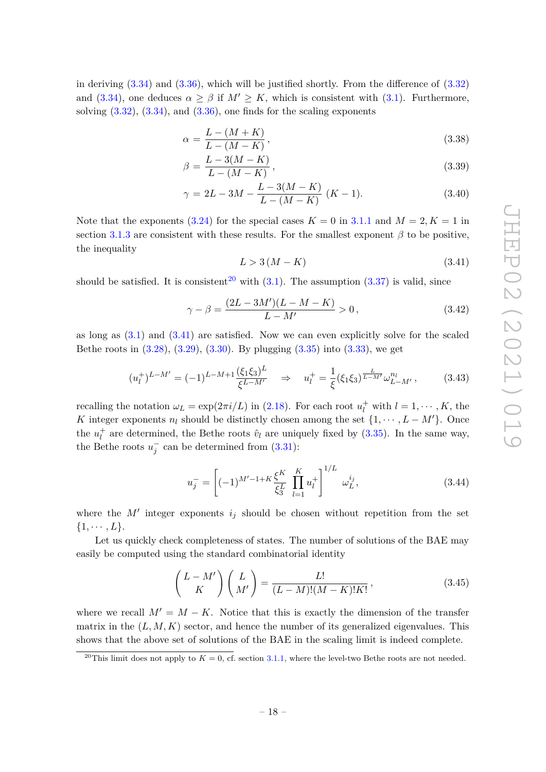in deriving  $(3.34)$  and  $(3.36)$ , which will be justified shortly. From the difference of  $(3.32)$ and [\(3.34\)](#page-17-2), one deduces  $\alpha \geq \beta$  if  $M' \geq K$ , which is consistent with [\(3.1\)](#page-12-3). Furthermore, solving  $(3.32)$ ,  $(3.34)$ , and  $(3.36)$ , one finds for the scaling exponents

<span id="page-18-2"></span>
$$
\alpha = \frac{L - (M + K)}{L - (M - K)},\tag{3.38}
$$

$$
\beta = \frac{L - 3(M - K)}{L - (M - K)},
$$
\n(3.39)

$$
\gamma = 2L - 3M - \frac{L - 3(M - K)}{L - (M - K)} (K - 1).
$$
\n(3.40)

Note that the exponents [\(3.24\)](#page-16-3) for the special cases  $K = 0$  in [3.1.1](#page-14-0) and  $M = 2, K = 1$  in section [3.1.3](#page-16-0) are consistent with these results. For the smallest exponent  $\beta$  to be positive, the inequality

<span id="page-18-1"></span>
$$
L > 3\left(M - K\right) \tag{3.41}
$$

should be satisfied. It is consistent<sup>[20](#page-18-0)</sup> with  $(3.1)$ . The assumption  $(3.37)$  is valid, since

$$
\gamma - \beta = \frac{(2L - 3M')(L - M - K)}{L - M'} > 0, \qquad (3.42)
$$

as long as  $(3.1)$  and  $(3.41)$  are satisfied. Now we can even explicitly solve for the scaled Bethe roots in  $(3.28)$ ,  $(3.29)$ ,  $(3.30)$ . By plugging  $(3.35)$  into  $(3.33)$ , we get

<span id="page-18-3"></span>
$$
(u_l^+)^{L-M'} = (-1)^{L-M+1} \frac{(\xi_1 \xi_3)^L}{\xi^{L-M'}} \quad \Rightarrow \quad u_l^+ = \frac{1}{\xi} (\xi_1 \xi_3)^{\frac{L}{L-M'}} \omega_{L-M'}^{n_l}, \tag{3.43}
$$

recalling the notation  $\omega_L = \exp(2\pi i/L)$  in [\(2.18\)](#page-9-7). For each root  $u_l^+$  with  $l = 1, \dots, K$ , the *K* integer exponents  $n_l$  should be distinctly chosen among the set  $\{1, \dots, L - M'\}$ . Once the  $u_l^+$  are determined, the Bethe roots  $\hat{v}_l$  are uniquely fixed by [\(3.35\)](#page-17-3). In the same way, the Bethe roots  $u_j^-$  can be determined from  $(3.31)$ :

<span id="page-18-4"></span>
$$
u_j^- = \left[ (-1)^{M'-1+K} \frac{\xi^K}{\xi_3^L} \prod_{l=1}^K u_l^+ \right]^{1/L} \omega_L^{i_j}, \tag{3.44}
$$

where the  $M'$  integer exponents  $i_j$  should be chosen without repetition from the set  $\{1, \cdots, L\}.$ 

Let us quickly check completeness of states. The number of solutions of the BAE may easily be computed using the standard combinatorial identity

<span id="page-18-5"></span>
$$
\begin{pmatrix} L - M' \\ K \end{pmatrix} \begin{pmatrix} L \\ M' \end{pmatrix} = \frac{L!}{(L - M)!(M - K)!K!},
$$
\n(3.45)

where we recall  $M' = M - K$ . Notice that this is exactly the dimension of the transfer matrix in the  $(L, M, K)$  sector, and hence the number of its generalized eigenvalues. This shows that the above set of solutions of the BAE in the scaling limit is indeed complete.

<span id="page-18-0"></span><sup>&</sup>lt;sup>20</sup>This limit does not apply to  $K = 0$ , cf. section [3.1.1,](#page-14-0) where the level-two Bethe roots are not needed.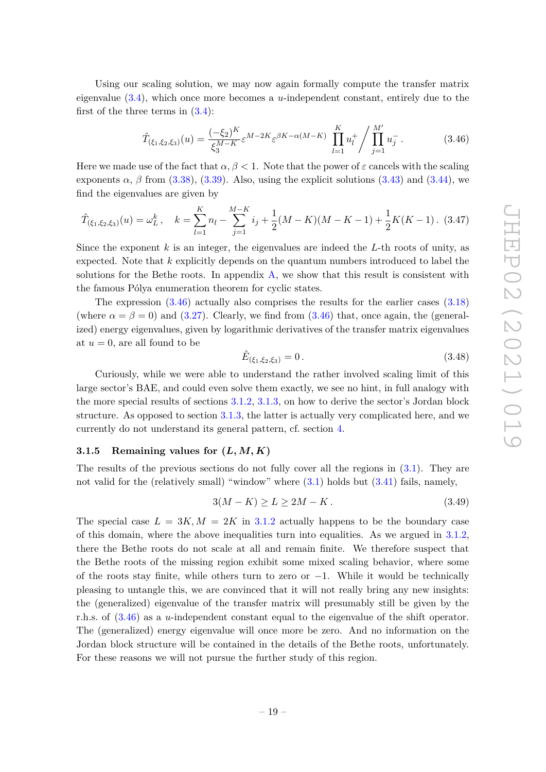Using our scaling solution, we may now again formally compute the transfer matrix eigenvalue [\(3.4\)](#page-13-2), which once more becomes a *u*-independent constant, entirely due to the first of the three terms in  $(3.4)$ :

<span id="page-19-1"></span>
$$
\hat{T}_{(\xi_1,\xi_2,\xi_3)}(u) = \frac{(-\xi_2)^K}{\xi_3^{M-K}} \varepsilon^{M-2K} \varepsilon^{\beta K-\alpha(M-K)} \prod_{l=1}^K u_l^+ / \prod_{j=1}^{M'} u_j^- \,. \tag{3.46}
$$

Here we made use of the fact that  $\alpha, \beta < 1$ . Note that the power of  $\varepsilon$  cancels with the scaling exponents  $\alpha$ ,  $\beta$  from [\(3.38\)](#page-18-2), [\(3.39\)](#page-18-2). Also, using the explicit solutions [\(3.43\)](#page-18-3) and [\(3.44\)](#page-18-4), we find the eigenvalues are given by

<span id="page-19-2"></span>
$$
\hat{T}_{(\xi_1,\xi_2,\xi_3)}(u) = \omega_L^k, \quad k = \sum_{l=1}^K n_l - \sum_{j=1}^{M-K} i_j + \frac{1}{2}(M-K)(M-K-1) + \frac{1}{2}K(K-1). \tag{3.47}
$$

Since the exponent *k* is an integer, the eigenvalues are indeed the *L*-th roots of unity, as expected. Note that *k* explicitly depends on the quantum numbers introduced to label the solutions for the Bethe roots. In appendix  $A$ , we show that this result is consistent with the famous Pólya enumeration theorem for cyclic states.

The expression [\(3.46\)](#page-19-1) actually also comprises the results for the earlier cases [\(3.18\)](#page-15-1) (where  $\alpha = \beta = 0$ ) and [\(3.27\)](#page-16-6). Clearly, we find from [\(3.46\)](#page-19-1) that, once again, the (generalized) energy eigenvalues, given by logarithmic derivatives of the transfer matrix eigenvalues at  $u = 0$ , are all found to be

$$
\hat{E}_{(\xi_1,\xi_2,\xi_3)} = 0. \tag{3.48}
$$

Curiously, while we were able to understand the rather involved scaling limit of this large sector's BAE, and could even solve them exactly, we see no hint, in full analogy with the more special results of sections [3.1.2,](#page-15-0) [3.1.3,](#page-16-0) on how to derive the sector's Jordan block structure. As opposed to section [3.1.3,](#page-16-0) the latter is actually very complicated here, and we currently do not understand its general pattern, cf. section [4.](#page-25-0)

## <span id="page-19-0"></span>**3.1.5** Remaining values for  $(L, M, K)$

The results of the previous sections do not fully cover all the regions in [\(3.1\)](#page-12-3). They are not valid for the (relatively small) "window" where  $(3.1)$  holds but  $(3.41)$  fails, namely,

$$
3(M - K) \ge L \ge 2M - K. \tag{3.49}
$$

The special case  $L = 3K, M = 2K$  in [3.1.2](#page-15-0) actually happens to be the boundary case of this domain, where the above inequalities turn into equalities. As we argued in [3.1.2,](#page-15-0) there the Bethe roots do not scale at all and remain finite. We therefore suspect that the Bethe roots of the missing region exhibit some mixed scaling behavior, where some of the roots stay finite, while others turn to zero or  $-1$ . While it would be technically pleasing to untangle this, we are convinced that it will not really bring any new insights: the (generalized) eigenvalue of the transfer matrix will presumably still be given by the r.h.s. of [\(3.46\)](#page-19-1) as a *u*-independent constant equal to the eigenvalue of the shift operator. The (generalized) energy eigenvalue will once more be zero. And no information on the Jordan block structure will be contained in the details of the Bethe roots, unfortunately. For these reasons we will not pursue the further study of this region.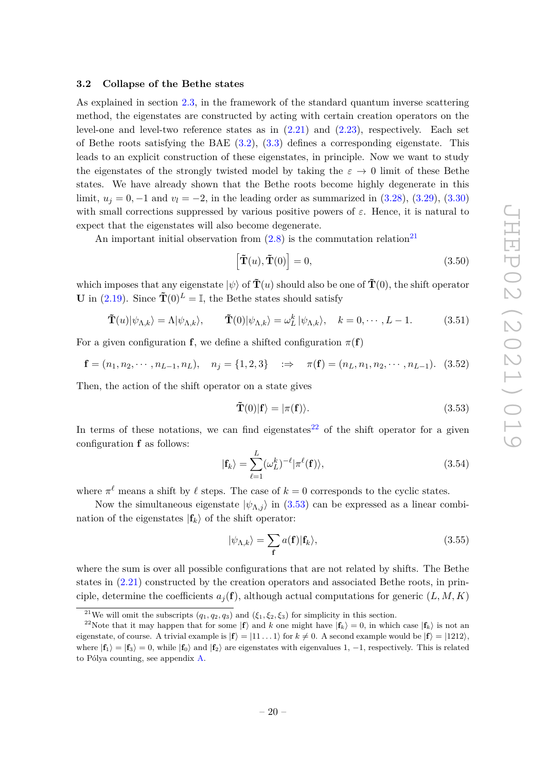#### <span id="page-20-0"></span>**3.2 Collapse of the Bethe states**

As explained in section [2.3,](#page-9-0) in the framework of the standard quantum inverse scattering method, the eigenstates are constructed by acting with certain creation operators on the level-one and level-two reference states as in  $(2.21)$  and  $(2.23)$ , respectively. Each set of Bethe roots satisfying the BAE  $(3.2)$ ,  $(3.3)$  defines a corresponding eigenstate. This leads to an explicit construction of these eigenstates, in principle. Now we want to study the eigenstates of the strongly twisted model by taking the  $\varepsilon \to 0$  limit of these Bethe states. We have already shown that the Bethe roots become highly degenerate in this limit,  $u_i = 0, -1$  and  $v_l = -2$ , in the leading order as summarized in [\(3.28\)](#page-17-5), [\(3.29\)](#page-17-6), [\(3.30\)](#page-17-7) with small corrections suppressed by various positive powers of  $\varepsilon$ . Hence, it is natural to expect that the eigenstates will also become degenerate.

An important initial observation from  $(2.8)$  is the commutation relation<sup>[21](#page-20-2)</sup>

$$
\left[\tilde{\mathbf{T}}(u), \tilde{\mathbf{T}}(0)\right] = 0,\tag{3.50}
$$

which imposes that any eigenstate  $|\psi\rangle$  of  $\tilde{\mathbf{T}}(u)$  should also be one of  $\tilde{\mathbf{T}}(0)$ , the shift operator **U** in  $(2.19)$ . Since  $\tilde{\mathbf{T}}(0)^L = \mathbb{I}$ , the Bethe states should satisfy

$$
\tilde{\mathbf{T}}(u)|\psi_{\Lambda,k}\rangle = \Lambda|\psi_{\Lambda,k}\rangle, \qquad \tilde{\mathbf{T}}(0)|\psi_{\Lambda,k}\rangle = \omega_L^k|\psi_{\Lambda,k}\rangle, \quad k = 0, \cdots, L-1. \tag{3.51}
$$

For a given configuration **f**, we define a shifted configuration  $\pi(\mathbf{f})$ 

 $\mathbf{f} = (n_1, n_2, \cdots, n_{L-1}, n_L), \quad n_j = \{1, 2, 3\} \quad \Rightarrow \quad \pi(\mathbf{f}) = (n_L, n_1, n_2, \cdots, n_{L-1}).$  (3.52)

Then, the action of the shift operator on a state gives

<span id="page-20-1"></span>
$$
\tilde{\mathbf{T}}(0)|\mathbf{f}\rangle = |\pi(\mathbf{f})\rangle. \tag{3.53}
$$

In terms of these notations, we can find eigenstates<sup>[22](#page-20-3)</sup> of the shift operator for a given configuration **f** as follows:

<span id="page-20-5"></span>
$$
|\mathbf{f}_k\rangle = \sum_{\ell=1}^L (\omega_L^k)^{-\ell} |\pi^{\ell}(\mathbf{f})\rangle, \tag{3.54}
$$

where  $\pi^{\ell}$  means a shift by  $\ell$  steps. The case of  $k = 0$  corresponds to the cyclic states.

Now the simultaneous eigenstate  $|\psi_{\Lambda,j}\rangle$  in [\(3.53\)](#page-20-1) can be expressed as a linear combination of the eigenstates  $|\mathbf{f}_k\rangle$  of the shift operator:

<span id="page-20-4"></span>
$$
|\psi_{\Lambda,k}\rangle = \sum_{\mathbf{f}} a(\mathbf{f}) |\mathbf{f}_k\rangle, \tag{3.55}
$$

where the sum is over all possible configurations that are not related by shifts. The Bethe states in [\(2.21\)](#page-9-2) constructed by the creation operators and associated Bethe roots, in principle, determine the coefficients  $a_j(f)$ , although actual computations for generic  $(L, M, K)$ 

<span id="page-20-3"></span><span id="page-20-2"></span><sup>&</sup>lt;sup>21</sup>We will omit the subscripts  $(q_1, q_2, q_3)$  and  $(\xi_1, \xi_2, \xi_3)$  for simplicity in this section.

<sup>&</sup>lt;sup>22</sup>Note that it may happen that for some  $|\mathbf{f}\rangle$  and *k* one might have  $|\mathbf{f}_k\rangle = 0$ , in which case  $|\mathbf{f}_k\rangle$  is not an eigenstate, of course. A trivial example is  $|\mathbf{f}\rangle = |11...1\rangle$  for  $k \neq 0$ . A second example would be  $|\mathbf{f}\rangle = |1212\rangle$ , where  $|\mathbf{f}_1\rangle = |\mathbf{f}_3\rangle = 0$ , while  $|\mathbf{f}_0\rangle$  and  $|\mathbf{f}_2\rangle$  are eigenstates with eigenvalues 1, -1, respectively. This is related to Pólya counting, see appendix [A.](#page-33-0)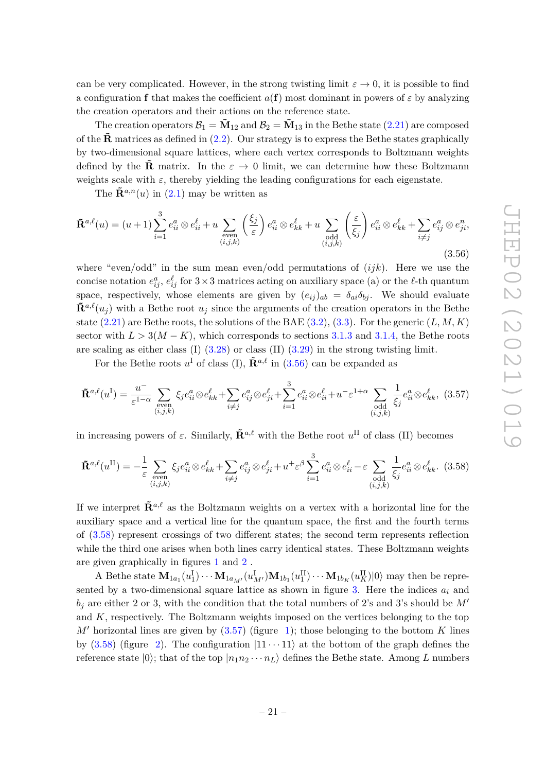can be very complicated. However, in the strong twisting limit  $\varepsilon \to 0$ , it is possible to find a configuration **f** that makes the coefficient  $a(\mathbf{f})$  most dominant in powers of  $\varepsilon$  by analyzing the creation operators and their actions on the reference state.

The creation operators  $\mathcal{B}_1 = \tilde{M}_{12}$  and  $\mathcal{B}_2 = \tilde{M}_{13}$  in the Bethe state [\(2.21\)](#page-9-2) are composed of the  $\tilde{\mathbf{R}}$  matrices as defined in  $(2.2)$ . Our strategy is to express the Bethe states graphically by two-dimensional square lattices, where each vertex corresponds to Boltzmann weights defined by the **R** matrix. In the  $\varepsilon \to 0$  limit, we can determine how these Boltzmann weights scale with  $\varepsilon$ , thereby yielding the leading configurations for each eigenstate.

The  $\tilde{\mathbf{R}}^{a,n}(u)$  in [\(2.1\)](#page-5-1) may be written as

<span id="page-21-0"></span>
$$
\tilde{\mathbf{R}}^{a,\ell}(u) = (u+1) \sum_{i=1}^{3} e_{ii}^{a} \otimes e_{ii}^{\ell} + u \sum_{\substack{\text{even} \\ (i,j,k)}} \left(\frac{\xi_{j}}{\varepsilon}\right) e_{ii}^{a} \otimes e_{kk}^{\ell} + u \sum_{\substack{\text{odd} \\ (i,j,k)}} \left(\frac{\varepsilon}{\xi_{j}}\right) e_{ii}^{a} \otimes e_{kk}^{\ell} + \sum_{i \neq j} e_{ij}^{a} \otimes e_{ji}^{n},\tag{3.56}
$$

where "even/odd" in the sum mean even/odd permutations of (*ijk*). Here we use the concise notation  $e_{ij}^a$ ,  $e_{ij}^{\ell}$  for  $3 \times 3$  matrices acting on auxiliary space (a) or the  $\ell$ -th quantum space, respectively, whose elements are given by  $(e_{ij})_{ab} = \delta_{ai}\delta_{bj}$ . We should evaluate  $\tilde{\mathbf{R}}^{a,\ell}(u_i)$  with a Bethe root  $u_i$  since the arguments of the creation operators in the Bethe state  $(2.21)$  are Bethe roots, the solutions of the BAE  $(3.2)$ ,  $(3.3)$ . For the generic  $(L, M, K)$ sector with  $L > 3(M - K)$ , which corresponds to sections [3.1.3](#page-16-0) and [3.1.4,](#page-17-0) the Bethe roots are scaling as either class (I)  $(3.28)$  or class (II)  $(3.29)$  in the strong twisting limit.

For the Bethe roots  $u^I$  of class (I),  $\tilde{\mathbf{R}}^{a,\ell}$  in [\(3.56\)](#page-21-0) can be expanded as

<span id="page-21-2"></span>
$$
\tilde{\mathbf{R}}^{a,\ell}(u^{\mathrm{I}}) = \frac{u^-}{\varepsilon^{1-\alpha}} \sum_{\substack{\mathrm{even} \\ (i,j,k)}} \xi_j e_{ii}^a \otimes e_{kk}^\ell + \sum_{i \neq j} e_{ij}^a \otimes e_{ji}^\ell + \sum_{i=1}^3 e_{ii}^a \otimes e_{ii}^\ell + u^- \varepsilon^{1+\alpha} \sum_{\substack{\mathrm{odd} \\ (i,j,k)}} \frac{1}{\xi_j} e_{ii}^a \otimes e_{kk}^\ell, \tag{3.57}
$$

in increasing powers of  $\varepsilon$ . Similarly,  $\tilde{\mathbf{R}}^{a,\ell}$  with the Bethe root  $u^{\text{II}}$  of class (II) becomes

<span id="page-21-1"></span>
$$
\tilde{\mathbf{R}}^{a,\ell}(u^{II}) = -\frac{1}{\varepsilon} \sum_{\substack{\text{even} \\ (i,j,k)}} \xi_j e_{ii}^a \otimes e_{kk}^\ell + \sum_{i \neq j} e_{ij}^a \otimes e_{ji}^\ell + u^+ \varepsilon^\beta \sum_{i=1}^3 e_{ii}^a \otimes e_{ii}^\ell - \varepsilon \sum_{\substack{\text{odd} \\ (i,j,k)}} \frac{1}{\xi_j} e_{ii}^a \otimes e_{kk}^\ell. \tag{3.58}
$$

If we interpret  $\tilde{\mathbf{R}}^{a,\ell}$  as the Boltzmann weights on a vertex with a horizontal line for the auxiliary space and a vertical line for the quantum space, the first and the fourth terms of [\(3.58\)](#page-21-1) represent crossings of two different states; the second term represents reflection while the third one arises when both lines carry identical states. These Boltzmann weights are given graphically in figures [1](#page-22-0) and [2](#page-22-1) .

A Bethe state  $\mathbf{M}_{1a_1}(u_1^{\mathrm{I}}) \cdots \mathbf{M}_{1a_{M'}}(u_{M'}^{\mathrm{I}}) \mathbf{M}_{1b_1}(u_1^{\mathrm{II}}) \cdots \mathbf{M}_{1b_K}(u_K^{\mathrm{II}}) |0\rangle$  may then be repre-sented by a two-dimensional square lattice as shown in figure [3.](#page-23-0) Here the indices  $a_i$  and  $b_i$  are either 2 or 3, with the condition that the total numbers of 2's and 3's should be  $M'$ and *K*, respectively. The Boltzmann weights imposed on the vertices belonging to the top  $M'$  horizontal lines are given by  $(3.57)$  (figure [1\)](#page-22-0); those belonging to the bottom *K* lines by [\(3.58\)](#page-21-1) (figure [2\)](#page-22-1). The configuration  $|11 \cdots 11\rangle$  at the bottom of the graph defines the reference state  $|0\rangle$ ; that of the top  $|n_1n_2\cdots n_L\rangle$  defines the Bethe state. Among *L* numbers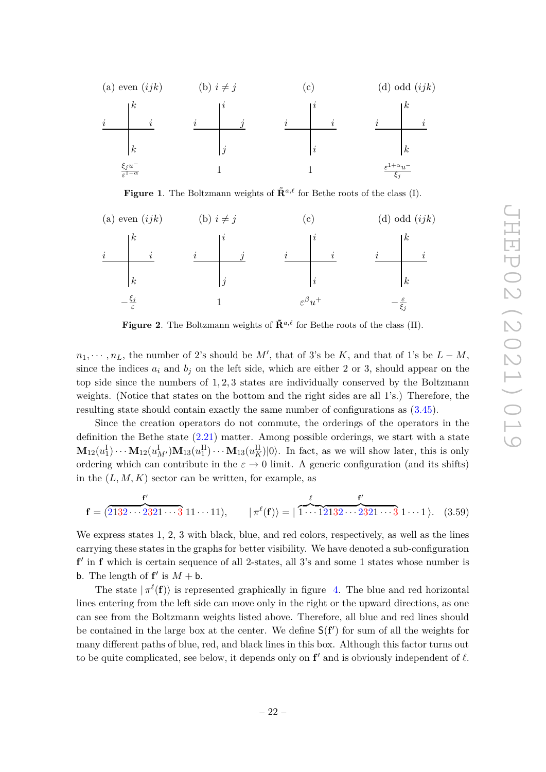

<span id="page-22-0"></span>**Figure 1.** The Boltzmann weights of  $\tilde{\mathbf{R}}^{a,\ell}$  for Bethe roots of the class (I).



<span id="page-22-1"></span>**Figure 2.** The Boltzmann weights of  $\tilde{\mathbf{R}}^{a,\ell}$  for Bethe roots of the class (II).

 $n_1, \dots, n_L$ , the number of 2's should be *M'*, that of 3's be *K*, and that of 1's be  $L - M$ , since the indices  $a_i$  and  $b_j$  on the left side, which are either 2 or 3, should appear on the top side since the numbers of 1*,* 2*,* 3 states are individually conserved by the Boltzmann weights. (Notice that states on the bottom and the right sides are all 1's.) Therefore, the resulting state should contain exactly the same number of configurations as [\(3.45\)](#page-18-5).

Since the creation operators do not commute, the orderings of the operators in the definition the Bethe state [\(2.21\)](#page-9-2) matter. Among possible orderings, we start with a state  $\mathbf{M}_{12}(u_1^{\mathrm{I}}) \cdots \mathbf{M}_{12}(u_M^{\mathrm{I}}) \mathbf{M}_{13}(u_1^{\mathrm{II}}) \cdots \mathbf{M}_{13}(u_K^{\mathrm{II}}) |0\rangle$ . In fact, as we will show later, this is only ordering which can contribute in the  $\varepsilon \to 0$  limit. A generic configuration (and its shifts) in the  $(L, M, K)$  sector can be written, for example, as

$$
\mathbf{f} = (2132 \cdots 2321 \cdots 311 \cdots 11), \qquad |\pi^{\ell}(\mathbf{f})\rangle = |\overbrace{1 \cdots 1}^{\ell} \overbrace{2132 \cdots 2321 \cdots 31}^{\mathbf{f}'} \cdots 1\rangle. \tag{3.59}
$$

We express states 1*,* 2*,* 3 with black, blue, and red colors, respectively, as well as the lines carrying these states in the graphs for better visibility. We have denoted a sub-configuration **f**' in **f** which is certain sequence of all 2-states, all 3's and some 1 states whose number is **b**. The length of  $f'$  is  $M + b$ .

The state  $|\pi^{\ell}(\mathbf{f})\rangle$  is represented graphically in figure [4.](#page-24-0) The blue and red horizontal lines entering from the left side can move only in the right or the upward directions, as one can see from the Boltzmann weights listed above. Therefore, all blue and red lines should be contained in the large box at the center. We define  $S(f')$  for sum of all the weights for many different paths of blue, red, and black lines in this box. Although this factor turns out to be quite complicated, see below, it depends only on  $f'$  and is obviously independent of  $\ell$ .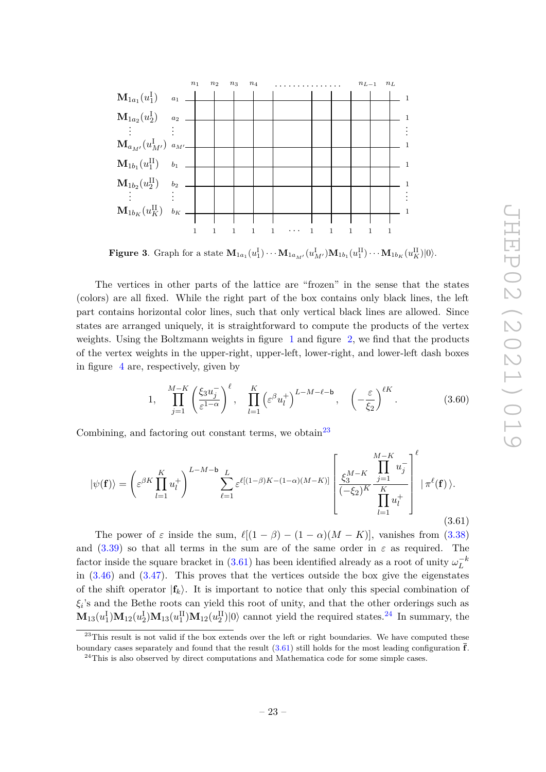

<span id="page-23-0"></span>**Figure 3**. Graph for a state  $\mathbf{M}_{1a_1}(u_1^{\text{I}}) \cdots \mathbf{M}_{1a_{M'}}(u_{M'}^{\text{I}}) \mathbf{M}_{1b_1}(u_1^{\text{II}}) \cdots \mathbf{M}_{1b_{K}}(u_{K}^{\text{II}}) |0\rangle$ .

The vertices in other parts of the lattice are "frozen" in the sense that the states (colors) are all fixed. While the right part of the box contains only black lines, the left part contains horizontal color lines, such that only vertical black lines are allowed. Since states are arranged uniquely, it is straightforward to compute the products of the vertex weights. Using the Boltzmann weights in figure  $1$  and figure  $2$ , we find that the products of the vertex weights in the upper-right, upper-left, lower-right, and lower-left dash boxes in figure [4](#page-24-0) are, respectively, given by

1, 
$$
\prod_{j=1}^{M-K} \left(\frac{\xi_3 u_j^-}{\varepsilon^{1-\alpha}}\right)^{\ell}, \quad \prod_{l=1}^{K} \left(\varepsilon^{\beta} u_l^+\right)^{L-M-\ell-\mathsf{b}}, \quad \left(-\frac{\varepsilon}{\xi_2}\right)^{\ell K}.
$$
 (3.60)

Combining, and factoring out constant terms, we obtain  $23$ 

<span id="page-23-2"></span>
$$
|\psi(\mathbf{f})\rangle = \left(\varepsilon^{\beta K} \prod_{l=1}^{K} u_l^+\right)^{L-M-\mathbf{b}} \sum_{\ell=1}^{L} \varepsilon^{\ell[(1-\beta)K-(1-\alpha)(M-K)]} \left[\frac{\xi_3^{M-K}}{(-\xi_2)^K} \frac{\prod_{j=1}^{M-K} u_j^-}{\prod_{l=1}^{K} u_l^+}\right]^{\ell} |\pi^{\ell}(\mathbf{f})\rangle.
$$
\n(3.61)

The power of  $\varepsilon$  inside the sum,  $\ell[(1 - \beta) - (1 - \alpha)(M - K)]$ , vanishes from [\(3.38\)](#page-18-2) and  $(3.39)$  so that all terms in the sum are of the same order in  $\varepsilon$  as required. The factor inside the square bracket in  $(3.61)$  has been identified already as a root of unity  $\omega_L^{-k}$ in  $(3.46)$  and  $(3.47)$ . This proves that the vertices outside the box give the eigenstates of the shift operator  $|\mathbf{f}_k\rangle$ . It is important to notice that only this special combination of *ξi* 's and the Bethe roots can yield this root of unity, and that the other orderings such as  $M_{13}(u_1^I)M_{12}(u_2^I)M_{13}(u_1^{II})M_{12}(u_2^{II})|0\rangle$  cannot yield the required states.<sup>[24](#page-23-3)</sup> In summary, the

<span id="page-23-1"></span> $^{23}$ This result is not valid if the box extends over the left or right boundaries. We have computed these boundary cases separately and found that the result  $(3.61)$  still holds for the most leading configuration  $\bar{f}$ .

<span id="page-23-3"></span> $24$ This is also observed by direct computations and Mathematica code for some simple cases.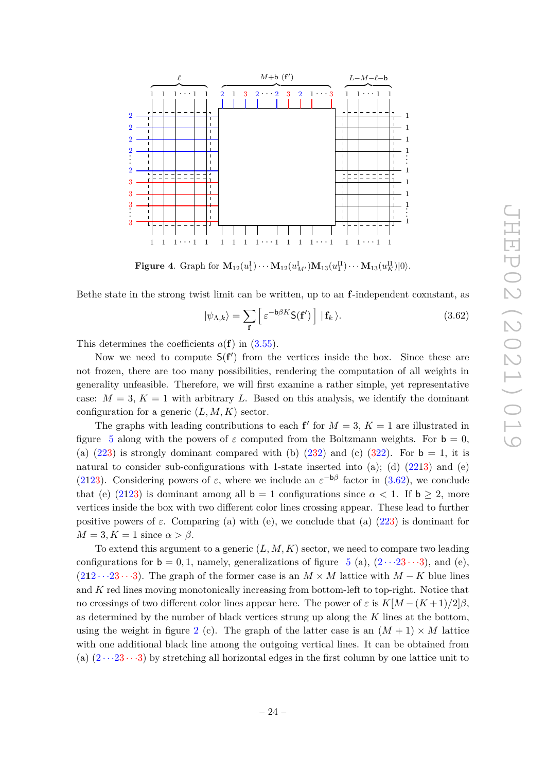

<span id="page-24-0"></span>**Figure 4.** Graph for  $M_{12}(u_1^I) \cdots M_{12}(u_M^I) M_{13}(u_1^{II}) \cdots M_{13}(u_K^{II})|0\rangle$ .

Bethe state in the strong twist limit can be written, up to an **f**-independent coxnstant, as

<span id="page-24-1"></span>
$$
|\psi_{\Lambda,k}\rangle = \sum_{\mathbf{f}} \left[ \varepsilon^{-b\beta K} \mathsf{S}(\mathbf{f}') \right] | \mathbf{f}_k \rangle. \tag{3.62}
$$

This determines the coefficients  $a(\mathbf{f})$  in  $(3.55)$ .

Now we need to compute  $S(f')$  from the vertices inside the box. Since these are not frozen, there are too many possibilities, rendering the computation of all weights in generality unfeasible. Therefore, we will first examine a rather simple, yet representative case:  $M = 3$ ,  $K = 1$  with arbitrary L. Based on this analysis, we identify the dominant configuration for a generic (*L, M, K*) sector.

The graphs with leading contributions to each **f**' for  $M = 3$ ,  $K = 1$  are illustrated in figure [5](#page-25-1) along with the powers of  $\varepsilon$  computed from the Boltzmann weights. For  $\mathbf{b} = 0$ , (a)  $(223)$  is strongly dominant compared with (b)  $(232)$  and (c)  $(322)$ . For  $b = 1$ , it is natural to consider sub-configurations with 1-state inserted into (a); (d)  $(2213)$  and (e) (2123). Considering powers of  $\varepsilon$ , where we include an  $\varepsilon^{-\mathsf{b}\beta}$  factor in [\(3.62\)](#page-24-1), we conclude that (e) (2123) is dominant among all  $\mathfrak{b} = 1$  configurations since  $\alpha < 1$ . If  $\mathfrak{b} \geq 2$ , more vertices inside the box with two different color lines crossing appear. These lead to further positive powers of  $\varepsilon$ . Comparing (a) with (e), we conclude that (a) (223) is dominant for  $M = 3, K = 1$  since  $\alpha > \beta$ .

To extend this argument to a generic (*L, M, K*) sector, we need to compare two leading configurations for  $\mathbf{b} = 0, 1$ , namely, generalizations of figure  $5$  (a),  $(2 \cdots 23 \cdots 3)$ , and (e),  $(212 \cdot \cdot \cdot 23 \cdot \cdot \cdot 3)$ . The graph of the former case is an  $M \times M$  lattice with  $M - K$  blue lines and *K* red lines moving monotonically increasing from bottom-left to top-right. Notice that no crossings of two different color lines appear here. The power of  $\varepsilon$  is  $K[M - (K+1)/2]\beta$ , as determined by the number of black vertices strung up along the *K* lines at the bottom, using the weight in figure [2](#page-22-1) (c). The graph of the latter case is an  $(M + 1) \times M$  lattice with one additional black line among the outgoing vertical lines. It can be obtained from (a)  $(2 \cdots 23 \cdots 3)$  by stretching all horizontal edges in the first column by one lattice unit to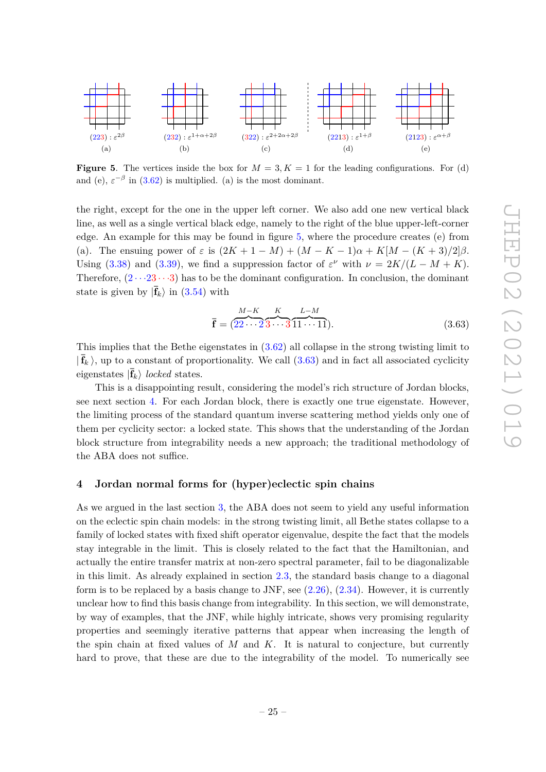

<span id="page-25-1"></span>**Figure 5.** The vertices inside the box for  $M = 3, K = 1$  for the leading configurations. For (d) and (e),  $\varepsilon^{-\beta}$  in [\(3.62\)](#page-24-1) is multiplied. (a) is the most dominant.

the right, except for the one in the upper left corner. We also add one new vertical black line, as well as a single vertical black edge, namely to the right of the blue upper-left-corner edge. An example for this may be found in figure [5,](#page-25-1) where the procedure creates (e) from (a). The ensuing power of  $\varepsilon$  is  $(2K + 1 - M) + (M - K - 1)\alpha + K[M - (K + 3)/2]\beta$ . Using [\(3.38\)](#page-18-2) and [\(3.39\)](#page-18-2), we find a suppression factor of  $\varepsilon^{\nu}$  with  $\nu = 2K/(L - M + K)$ . Therefore,  $(2 \cdots 23 \cdots 3)$  has to be the dominant configuration. In conclusion, the dominant state is given by  $|\mathbf{f}_k\rangle$  in [\(3.54\)](#page-20-5) with

<span id="page-25-2"></span>
$$
\overline{\mathbf{f}} = \left( \overbrace{22 \cdots 2}^{M-K} \overbrace{3 \cdots 3}^{K} \overbrace{11 \cdots 11}^{L-M} \right). \tag{3.63}
$$

This implies that the Bethe eigenstates in [\(3.62\)](#page-24-1) all collapse in the strong twisting limit to  $|\bar{\mathbf{f}}_k\rangle$ , up to a constant of proportionality. We call [\(3.63\)](#page-25-2) and in fact all associated cyclicity eigenstates  $|\vec{\mathbf{f}}_k\rangle$  *locked* states.

This is a disappointing result, considering the model's rich structure of Jordan blocks, see next section [4.](#page-25-0) For each Jordan block, there is exactly one true eigenstate. However, the limiting process of the standard quantum inverse scattering method yields only one of them per cyclicity sector: a locked state. This shows that the understanding of the Jordan block structure from integrability needs a new approach; the traditional methodology of the ABA does not suffice.

#### <span id="page-25-0"></span>**4 Jordan normal forms for (hyper)eclectic spin chains**

As we argued in the last section [3,](#page-12-0) the ABA does not seem to yield any useful information on the eclectic spin chain models: in the strong twisting limit, all Bethe states collapse to a family of locked states with fixed shift operator eigenvalue, despite the fact that the models stay integrable in the limit. This is closely related to the fact that the Hamiltonian, and actually the entire transfer matrix at non-zero spectral parameter, fail to be diagonalizable in this limit. As already explained in section [2.3,](#page-9-0) the standard basis change to a diagonal form is to be replaced by a basis change to JNF, see  $(2.26)$ ,  $(2.34)$ . However, it is currently unclear how to find this basis change from integrability. In this section, we will demonstrate, by way of examples, that the JNF, while highly intricate, shows very promising regularity properties and seemingly iterative patterns that appear when increasing the length of the spin chain at fixed values of *M* and *K*. It is natural to conjecture, but currently hard to prove, that these are due to the integrability of the model. To numerically see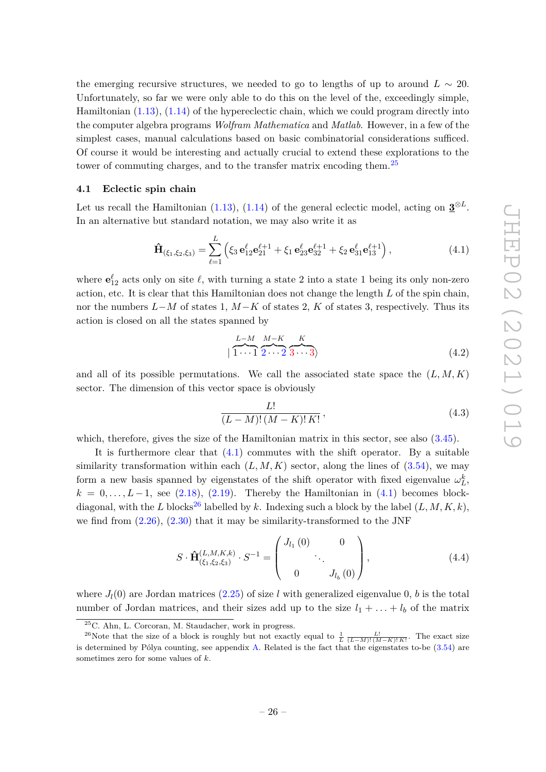the emerging recursive structures, we needed to go to lengths of up to around  $L \sim 20$ . Unfortunately, so far we were only able to do this on the level of the, exceedingly simple, Hamiltonian [\(1.13\)](#page-3-2), [\(1.14\)](#page-3-3) of the hypereclectic chain, which we could program directly into the computer algebra programs *Wolfram Mathematica* and *Matlab*. However, in a few of the simplest cases, manual calculations based on basic combinatorial considerations sufficed. Of course it would be interesting and actually crucial to extend these explorations to the tower of commuting charges, and to the transfer matrix encoding them.<sup>[25](#page-26-1)</sup>

### <span id="page-26-0"></span>**4.1 Eclectic spin chain**

Let us recall the Hamiltonian  $(1.13)$ ,  $(1.14)$  of the general eclectic model, acting on  $\underline{3}^{\otimes L}$ . In an alternative but standard notation, we may also write it as

<span id="page-26-2"></span>
$$
\hat{\mathbf{H}}_{(\xi_1,\xi_2,\xi_3)} = \sum_{\ell=1}^{L} \left( \xi_3 \,\mathbf{e}_{12}^{\ell} \mathbf{e}_{21}^{\ell+1} + \xi_1 \,\mathbf{e}_{23}^{\ell} \mathbf{e}_{32}^{\ell+1} + \xi_2 \,\mathbf{e}_{31}^{\ell} \mathbf{e}_{13}^{\ell+1} \right),\tag{4.1}
$$

where  $\mathbf{e}_{12}^{\ell}$  acts only on site  $\ell$ , with turning a state 2 into a state 1 being its only non-zero action, etc. It is clear that this Hamiltonian does not change the length *L* of the spin chain, nor the numbers *L*−*M* of states 1, *M*−*K* of states 2, *K* of states 3, respectively. Thus its action is closed on all the states spanned by

$$
\downarrow \frac{L-M}{1\cdots 1} \frac{M-K}{2\cdots 2} \frac{K}{3\cdots 3} \tag{4.2}
$$

and all of its possible permutations. We call the associated state space the  $(L, M, K)$ sector. The dimension of this vector space is obviously

$$
\frac{L!}{(L-M)!(M-K)!K!},
$$
\n(4.3)

which, therefore, gives the size of the Hamiltonian matrix in this sector, see also [\(3.45\)](#page-18-5).

It is furthermore clear that  $(4.1)$  commutes with the shift operator. By a suitable similarity transformation within each  $(L, M, K)$  sector, along the lines of  $(3.54)$ , we may form a new basis spanned by eigenstates of the shift operator with fixed eigenvalue  $\omega_L^k$ ,  $k = 0, \ldots, L-1$ , see [\(2.18\)](#page-9-7), [\(2.19\)](#page-9-4). Thereby the Hamiltonian in [\(4.1\)](#page-26-2) becomes blockdiagonal, with the *L* blocks<sup>[26](#page-26-3)</sup> labelled by *k*. Indexing such a block by the label  $(L, M, K, k)$ , we find from  $(2.26)$ ,  $(2.30)$  that it may be similarity-transformed to the JNF

$$
S \cdot \hat{\mathbf{H}}_{(\xi_1, \xi_2, \xi_3)}^{(L, M, K, k)} \cdot S^{-1} = \begin{pmatrix} J_{l_1}(0) & 0 \\ & \ddots \\ 0 & J_{l_b}(0) \end{pmatrix},
$$
(4.4)

where  $J_l(0)$  are Jordan matrices  $(2.25)$  of size *l* with generalized eigenvalue 0, *b* is the total number of Jordan matrices, and their sizes add up to the size  $l_1 + \ldots + l_b$  of the matrix

<span id="page-26-3"></span><span id="page-26-1"></span><sup>25</sup>C. Ahn, L. Corcoran, M. Staudacher, work in progress.

<sup>&</sup>lt;sup>26</sup>Note that the size of a block is roughly but not exactly equal to  $\frac{1}{L} \frac{L!}{(L-M)!(M-K)!(K)!}$ . The exact size is determined by Pólya counting, see appendix [A.](#page-33-0) Related is the fact that the eigenstates to-be [\(3.54\)](#page-20-5) are sometimes zero for some values of *k*.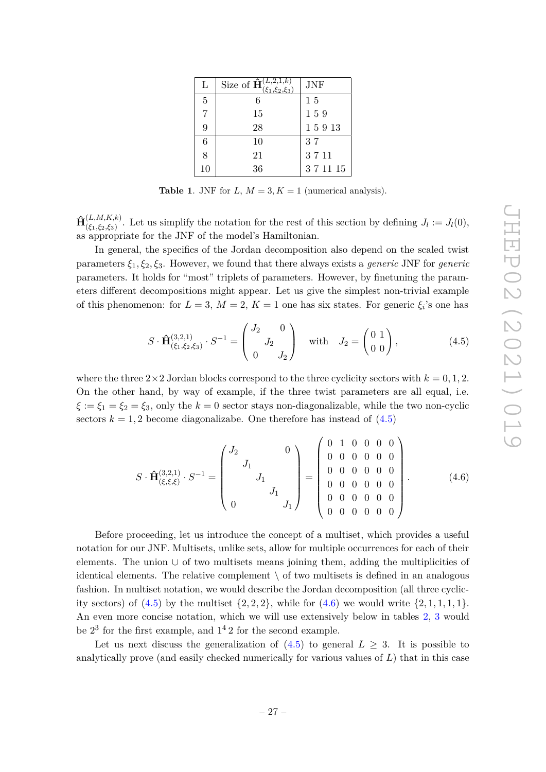| L              | Size of $\mathbf{\hat{H}}_{(\xi_1,\xi_2,\xi_3)}^{(L,2,1,k)}$ | JNF    |
|----------------|--------------------------------------------------------------|--------|
| $\overline{5}$ | 6                                                            | $1\,5$ |
| $\overline{7}$ | 15                                                           | 159    |
| 9              | 28                                                           | 15913  |
| 6              | 10                                                           | 37     |
| 8              | 21                                                           | 3711   |
| 10             | 36                                                           | 371115 |

<span id="page-27-2"></span>**Table 1**. JNF for  $L, M = 3, K = 1$  (numerical analysis).

 $\hat{\mathbf{H}}_{(\xi_1,\xi_2,\xi_3)}^{(L,M,K,k)}$ . Let us simplify the notation for the rest of this section by defining  $J_l := J_l(0)$ , as appropriate for the JNF of the model's Hamiltonian.

In general, the specifics of the Jordan decomposition also depend on the scaled twist parameters *ξ*1*, ξ*2*, ξ*3. However, we found that there always exists a *generic* JNF for *generic* parameters. It holds for "most" triplets of parameters. However, by finetuning the parameters different decompositions might appear. Let us give the simplest non-trivial example of this phenomenon: for  $L = 3$ ,  $M = 2$ ,  $K = 1$  one has six states. For generic  $\xi_i$ 's one has

<span id="page-27-0"></span>
$$
S \cdot \hat{\mathbf{H}}_{(\xi_1, \xi_2, \xi_3)}^{(3,2,1)} \cdot S^{-1} = \begin{pmatrix} J_2 & 0 \\ J_2 & 0 \\ 0 & J_2 \end{pmatrix} \text{ with } J_2 = \begin{pmatrix} 0 & 1 \\ 0 & 0 \end{pmatrix}, \tag{4.5}
$$

where the three  $2 \times 2$  Jordan blocks correspond to the three cyclicity sectors with  $k = 0, 1, 2$ . On the other hand, by way of example, if the three twist parameters are all equal, i.e.  $\xi := \xi_1 = \xi_2 = \xi_3$ , only the  $k = 0$  sector stays non-diagonalizable, while the two non-cyclic sectors  $k = 1, 2$  become diagonalizabe. One therefore has instead of  $(4.5)$ 

<span id="page-27-1"></span>
$$
S \cdot \hat{\mathbf{H}}_{(\xi,\xi,\xi)}^{(3,2,1)} \cdot S^{-1} = \begin{pmatrix} J_2 & & 0 \\ & J_1 & & \\ & & J_1 & \\ & & & J_1 \end{pmatrix} = \begin{pmatrix} 0 & 1 & 0 & 0 & 0 & 0 \\ 0 & 0 & 0 & 0 & 0 & 0 \\ 0 & 0 & 0 & 0 & 0 & 0 \\ 0 & 0 & 0 & 0 & 0 & 0 \\ 0 & 0 & 0 & 0 & 0 & 0 \end{pmatrix} . \tag{4.6}
$$

Before proceeding, let us introduce the concept of a multiset, which provides a useful notation for our JNF. Multisets, unlike sets, allow for multiple occurrences for each of their elements. The union ∪ of two multisets means joining them, adding the multiplicities of identical elements. The relative complement  $\setminus$  of two multisets is defined in an analogous fashion. In multiset notation, we would describe the Jordan decomposition (all three cyclicity sectors) of  $(4.5)$  by the multiset  $\{2, 2, 2\}$ , while for  $(4.6)$  we would write  $\{2, 1, 1, 1, 1\}$ . An even more concise notation, which we will use extensively below in tables [2,](#page-31-0) [3](#page-32-1) would be  $2<sup>3</sup>$  for the first example, and  $1<sup>4</sup>2$  for the second example.

Let us next discuss the generalization of  $(4.5)$  to general  $L \geq 3$ . It is possible to analytically prove (and easily checked numerically for various values of *L*) that in this case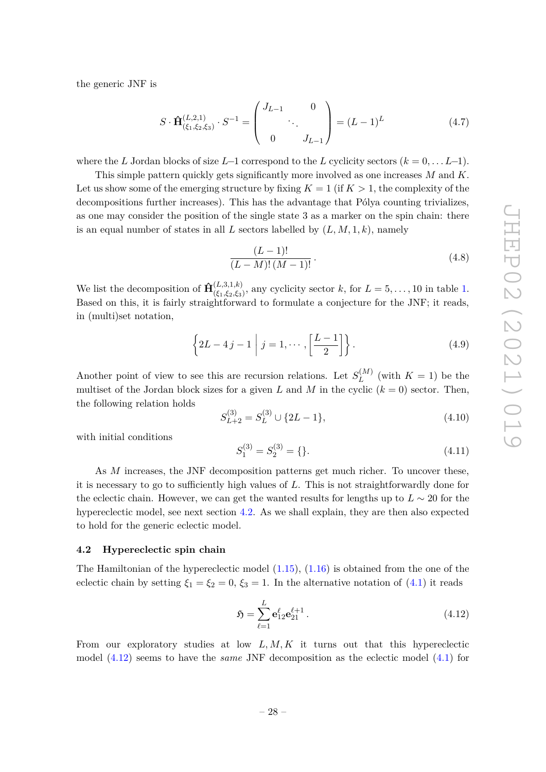the generic JNF is

$$
S \cdot \hat{\mathbf{H}}_{(\xi_1, \xi_2, \xi_3)}^{(L, 2, 1)} \cdot S^{-1} = \begin{pmatrix} J_{L-1} & 0 \\ & \ddots & \\ 0 & J_{L-1} \end{pmatrix} = (L-1)^L
$$
(4.7)

where the *L* Jordan blocks of size *L*−1 correspond to the *L* cyclicity sectors  $(k = 0, \ldots L-1)$ .

This simple pattern quickly gets significantly more involved as one increases *M* and *K*. Let us show some of the emerging structure by fixing  $K = 1$  (if  $K > 1$ , the complexity of the decompositions further increases). This has the advantage that Pólya counting trivializes, as one may consider the position of the single state 3 as a marker on the spin chain: there is an equal number of states in all  $L$  sectors labelled by  $(L, M, 1, k)$ , namely

$$
\frac{(L-1)!}{(L-M)!(M-1)!}.
$$
\n(4.8)

We list the decomposition of  $\mathbf{\hat{H}}_{(\xi_1,\xi_2,\xi_3)}^{(L,3,1,k)}$ , any cyclicity sector *k*, for  $L = 5, \ldots, 10$  in table [1.](#page-27-2) Based on this, it is fairly straightforward to formulate a conjecture for the JNF; it reads, in (multi)set notation,

$$
\left\{2L - 4j - 1 \middle| j = 1, \cdots, \left[\frac{L-1}{2}\right] \right\}.
$$
\n(4.9)

Another point of view to see this are recursion relations. Let  $S_L^{(M)}$  $L^{(M)}$  (with  $K = 1$ ) be the multiset of the Jordan block sizes for a given *L* and *M* in the cyclic  $(k = 0)$  sector. Then, the following relation holds

<span id="page-28-2"></span>
$$
S_{L+2}^{(3)} = S_L^{(3)} \cup \{2L - 1\},\tag{4.10}
$$

with initial conditions

<span id="page-28-3"></span>
$$
S_1^{(3)} = S_2^{(3)} = \{\}.\tag{4.11}
$$

As *M* increases, the JNF decomposition patterns get much richer. To uncover these, it is necessary to go to sufficiently high values of *L*. This is not straightforwardly done for the eclectic chain. However, we can get the wanted results for lengths up to *L* ∼ 20 for the hypereclectic model, see next section [4.2.](#page-28-0) As we shall explain, they are then also expected to hold for the generic eclectic model.

#### <span id="page-28-0"></span>**4.2 Hypereclectic spin chain**

The Hamiltonian of the hypereclectic model [\(1.15\)](#page-4-3), [\(1.16\)](#page-4-4) is obtained from the one of the eclectic chain by setting  $\xi_1 = \xi_2 = 0$ ,  $\xi_3 = 1$ . In the alternative notation of [\(4.1\)](#page-26-2) it reads

<span id="page-28-1"></span>
$$
\mathfrak{H} = \sum_{\ell=1}^{L} \mathbf{e}_{12}^{\ell} \mathbf{e}_{21}^{\ell+1} . \tag{4.12}
$$

From our exploratory studies at low *L, M, K* it turns out that this hypereclectic model [\(4.12\)](#page-28-1) seems to have the *same* JNF decomposition as the eclectic model [\(4.1\)](#page-26-2) for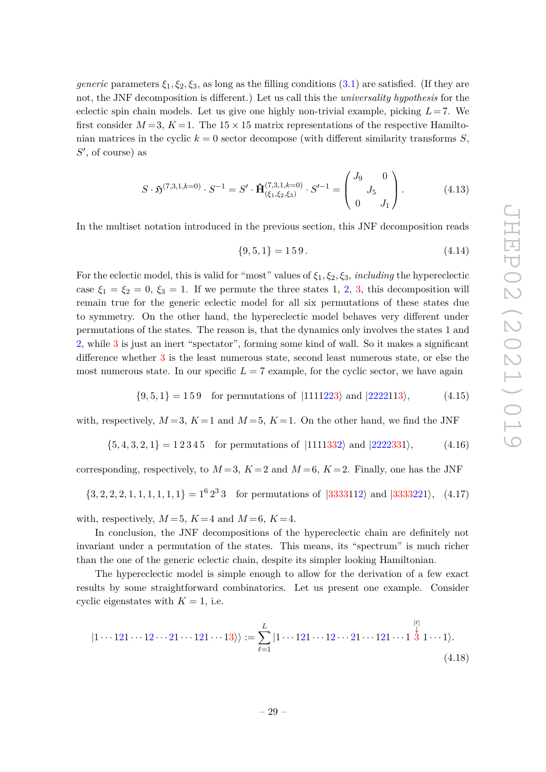*generic* parameters  $\xi_1, \xi_2, \xi_3$ , as long as the filling conditions  $(3.1)$  are satisfied. (If they are not, the JNF decomposition is different.) Let us call this the *universality hypothesis* for the eclectic spin chain models. Let us give one highly non-trivial example, picking *L*= 7. We first consider  $M=3$ ,  $K=1$ . The 15  $\times$  15 matrix representations of the respective Hamiltonian matrices in the cyclic  $k = 0$  sector decompose (with different similarity transforms  $S$ , S', of course) as

$$
S \cdot \mathfrak{H}^{(7,3,1,k=0)} \cdot S^{-1} = S' \cdot \hat{\mathbf{H}}_{(\xi_1,\xi_2,\xi_3)}^{(7,3,1,k=0)} \cdot S'^{-1} = \begin{pmatrix} J_9 & 0 \\ J_5 & \\ 0 & J_1 \end{pmatrix} . \tag{4.13}
$$

In the multiset notation introduced in the previous section, this JNF decomposition reads

$$
\{9,5,1\} = 159.\t(4.14)
$$

For the eclectic model, this is valid for "most" values of  $\xi_1, \xi_2, \xi_3$ , *including* the hypereclectic case  $\xi_1 = \xi_2 = 0$ ,  $\xi_3 = 1$ . If we permute the three states 1, 2, 3, this decomposition will remain true for the generic eclectic model for all six permutations of these states due to symmetry. On the other hand, the hypereclectic model behaves very different under permutations of the states. The reason is, that the dynamics only involves the states 1 and 2, while 3 is just an inert "spectator", forming some kind of wall. So it makes a significant difference whether 3 is the least numerous state, second least numerous state, or else the most numerous state. In our specific  $L = 7$  example, for the cyclic sector, we have again

$$
\{9,5,1\} = 159 \quad \text{for permutations of } |1111223\rangle \text{ and } |2222113\rangle,\tag{4.15}
$$

with, respectively,  $M=3$ ,  $K=1$  and  $M=5$ ,  $K=1$ . On the other hand, we find the JNF

$$
\{5, 4, 3, 2, 1\} = 1\,2\,3\,4\,5 \quad \text{for permutations of } |1111332\rangle \text{ and } |2222331\rangle,\tag{4.16}
$$

corresponding, respectively, to  $M=3$ ,  $K=2$  and  $M=6$ ,  $K=2$ . Finally, one has the JNF

$$
\{3, 2, 2, 2, 1, 1, 1, 1, 1, 1\} = 1^{6} 2^{3} 3 \text{ for permutations of } |3333112\rangle \text{ and } |3333221\rangle, \quad (4.17)
$$

with, respectively,  $M=5$ ,  $K=4$  and  $M=6$ ,  $K=4$ .

In conclusion, the JNF decompositions of the hypereclectic chain are definitely not invariant under a permutation of the states. This means, its "spectrum" is much richer than the one of the generic eclectic chain, despite its simpler looking Hamiltonian.

The hypereclectic model is simple enough to allow for the derivation of a few exact results by some straightforward combinatorics. Let us present one example. Consider cyclic eigenstates with  $K = 1$ , i.e.

$$
|1 \cdots 121 \cdots 12 \cdots 21 \cdots 121 \cdots 13\rangle\rangle := \sum_{\ell=1}^{L} |1 \cdots 121 \cdots 12 \cdots 21 \cdots 121 \cdots 1 \stackrel{[\ell]}{3} 1 \cdots 1\rangle.
$$
\n(4.18)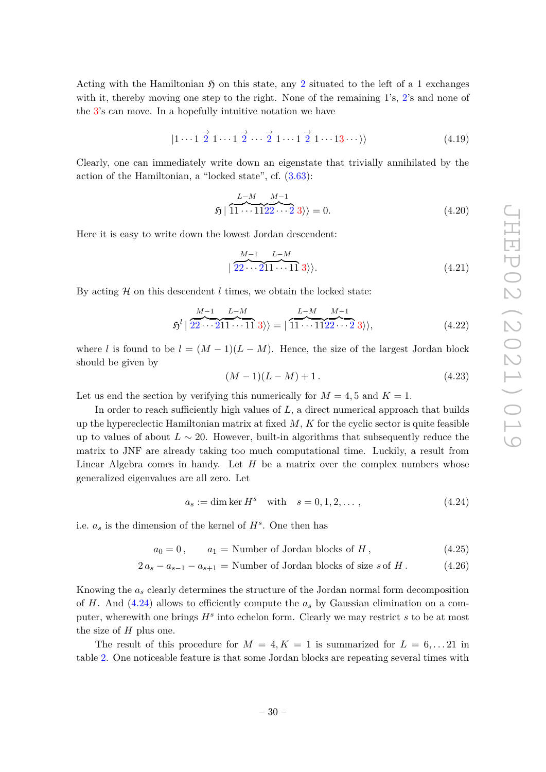Acting with the Hamiltonian  $\mathfrak{H}$  on this state, any 2 situated to the left of a 1 exchanges with it, thereby moving one step to the right. None of the remaining 1's, 2's and none of the 3's can move. In a hopefully intuitive notation we have

$$
|1 \cdots 1 \stackrel{\rightarrow}{2} 1 \cdots 1 \stackrel{\rightarrow}{2} \cdots \stackrel{\rightarrow}{2} 1 \cdots 1 \stackrel{\rightarrow}{2} 1 \cdots 13 \cdots \rangle\rangle \tag{4.19}
$$

Clearly, one can immediately write down an eigenstate that trivially annihilated by the action of the Hamiltonian, a "locked state", cf. [\(3.63\)](#page-25-2):

$$
\mathfrak{H} \mid \overbrace{11 \cdots 1122 \cdots 2}^{L-M} 3 \rangle = 0. \tag{4.20}
$$

Here it is easy to write down the lowest Jordan descendent:

$$
\left| \frac{M-1}{22 \cdots 211 \cdots 11} \frac{L-M}{3} \right\rangle. \tag{4.21}
$$

By acting  $H$  on this descendent  $l$  times, we obtain the locked state:

$$
\mathfrak{H}^l \mid \overbrace{22 \cdots 211 \cdots 11}^{M-1} 3 \rangle = \mid \overbrace{11 \cdots 1122 \cdots 2}^{L-M} 3 \rangle \rangle, \tag{4.22}
$$

where *l* is found to be  $l = (M-1)(L-M)$ . Hence, the size of the largest Jordan block should be given by

<span id="page-30-1"></span>
$$
(M-1)(L-M) + 1.
$$
\n(4.23)

Let us end the section by verifying this numerically for  $M = 4, 5$  and  $K = 1$ .

In order to reach sufficiently high values of *L*, a direct numerical approach that builds up the hypereclectic Hamiltonian matrix at fixed *M*, *K* for the cyclic sector is quite feasible up to values of about *L* ∼ 20. However, built-in algorithms that subsequently reduce the matrix to JNF are already taking too much computational time. Luckily, a result from Linear Algebra comes in handy. Let *H* be a matrix over the complex numbers whose generalized eigenvalues are all zero. Let

<span id="page-30-0"></span>
$$
a_s := \dim \ker H^s \quad \text{with} \quad s = 0, 1, 2, \dots,
$$
\n
$$
(4.24)
$$

i.e.  $a_s$  is the dimension of the kernel of  $H^s$ . One then has

$$
a_0 = 0, \qquad a_1 = \text{Number of Jordan blocks of } H,\tag{4.25}
$$

$$
2 a_s - a_{s-1} - a_{s+1} = \text{Number of Jordan blocks of size } s \text{ of } H. \tag{4.26}
$$

Knowing the *a<sup>s</sup>* clearly determines the structure of the Jordan normal form decomposition of *H*. And [\(4.24\)](#page-30-0) allows to efficiently compute the *a<sup>s</sup>* by Gaussian elimination on a computer, wherewith one brings  $H^s$  into echelon form. Clearly we may restrict *s* to be at most the size of *H* plus one.

The result of this procedure for  $M = 4, K = 1$  is summarized for  $L = 6, \ldots 21$  in table [2.](#page-31-0) One noticeable feature is that some Jordan blocks are repeating several times with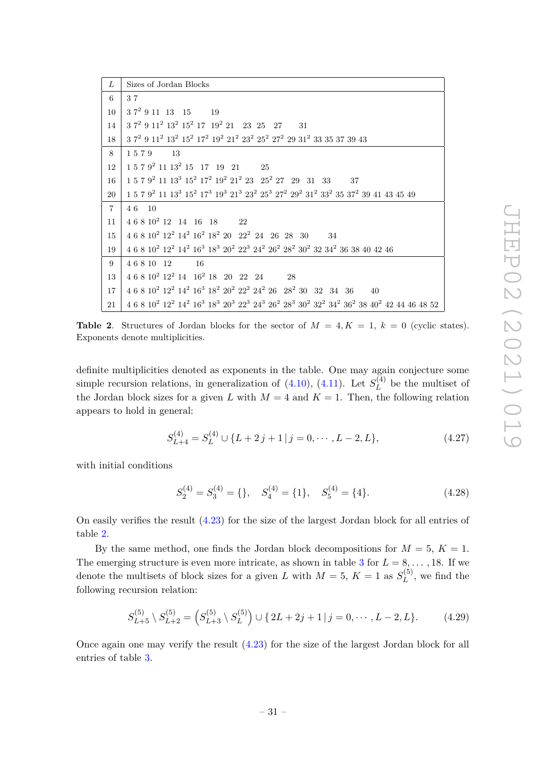*L* Sizes of Jordan Blocks 6 3 7 10 3 7 2 9 11 13 15 19  $14 \mid 3 \; 7^2 \; 9 \; 11^2 \; 13^2 \; 15^2 \; 17 \; 19^2 \; 21 \; 23 \; 25 \; 27 \; 31$  $18 \mid 3\;7^2\;9\;11^2\;13^2\;15^2\;17^2\;19^2\;21^2\;23^2\;25^2\;27^2\;29\;31^2\;33\;35\;37\;39\;43$ 8 1 5 7 9 13  $12 \mid 1\ 5\ 7\ 9^2\ 11\ 13^2\ 15\ 17\ 19\ 21$  25  $16 \mid 1\ 5\ 7\ 9^2\ 11\ 13^3\ 15^2\ 17^2\ 19^2\ 21^2\ 23\ 25^2\ 27\ 29\ 31\ 33\ 37$  $20\,$   $\mid$   $1\,5\,7\,9^2\,$   $11\,13^3\,$   $15^2\,$   $17^3\,$   $19^3\,$   $21^3\,$   $23^2\,$   $25^3\,$   $27^2\,$   $29^2\,$   $31^2\,$   $33^2\,$   $35\,$   $37^2\,$   $39\,$   $41\,$   $43\,$   $45\,$   $49$  $7 \mid 46 \mid 10$ 11 4 6 8 10<sup>2</sup> 12 14 16 18 22  $15 \mid 4 \; 6 \; 8 \; 10^2 \; 12^2 \; 14^2 \; 16^2 \; 18^2 \; 20 \; 22^2 \; 24 \; 26 \; 28 \; 30 \; 34$  $19 \mid 4 \; 6 \; 8 \; 10^2 \; 12^2 \; 14^2 \; 16^3 \; 18^3 \; 20^2 \; 22^3 \; 24^2 \; 26^2 \; 28^2 \; 30^2 \; 32 \; 34^2 \; 36 \; 38 \; 40 \; 42 \; 46$ 9 4 6 8 10 12 16  $13 \mid 4 \; 6 \; 8 \; 10^2 \; 12^2 \; 14 \; 16^2 \; 18 \; 20 \; 22 \; 24 \; 28$  $17 \mid 4 \mid 6 \mid 8 \mid 10^2 \mid 12^2 \mid 14^2 \mid 16^3 \mid 18^2 \mid 20^2 \mid 22^2 \mid 24^2 \mid 26 \mid 28^2 \mid 30 \mid 32 \mid 34 \mid 36 \qquad 40$  $21 \big|$   $4 \:\rm 6 \: 8 \: 10^2 \: 12^2 \: 14^2 \: 16^3 \: 18^3 \: 20^3 \: 22^3 \: 24^3 \: 26^2 \: 28^3 \: 30^2 \: 32^2 \: 34^2 \: 36^2 \: 38 \: 40^2 \: 42 \: 44 \: 46 \: 48 \: 52$ 

<span id="page-31-0"></span>**Table 2.** Structures of Jordan blocks for the sector of  $M = 4, K = 1, k = 0$  (cyclic states). Exponents denote multiplicities.

definite multiplicities denoted as exponents in the table. One may again conjecture some simple recursion relations, in generalization of  $(4.10)$ ,  $(4.11)$ . Let  $S_L^{(4)}$  $L^{(4)}$  be the multiset of the Jordan block sizes for a given *L* with  $M = 4$  and  $K = 1$ . Then, the following relation appears to hold in general:

$$
S_{L+4}^{(4)} = S_L^{(4)} \cup \{L+2j+1 \mid j=0,\cdots,L-2,L\},\tag{4.27}
$$

with initial conditions

$$
S_2^{(4)} = S_3^{(4)} = \{\}, \quad S_4^{(4)} = \{1\}, \quad S_5^{(4)} = \{4\}. \tag{4.28}
$$

On easily verifies the result [\(4.23\)](#page-30-1) for the size of the largest Jordan block for all entries of table [2.](#page-31-0)

By the same method, one finds the Jordan block decompositions for  $M = 5$ ,  $K = 1$ . The emerging structure is even more intricate, as shown in table [3](#page-32-1) for  $L = 8, \ldots, 18$ . If we denote the multisets of block sizes for a given *L* with  $M = 5$ ,  $K = 1$  as  $S_L^{(5)}$  $L^{(3)}$ , we find the following recursion relation:

$$
S_{L+5}^{(5)} \setminus S_{L+2}^{(5)} = (S_{L+3}^{(5)} \setminus S_L^{(5)}) \cup \{2L+2j+1 | j = 0, \cdots, L-2, L\}.
$$
 (4.29)

Once again one may verify the result [\(4.23\)](#page-30-1) for the size of the largest Jordan block for all entries of table [3.](#page-32-1)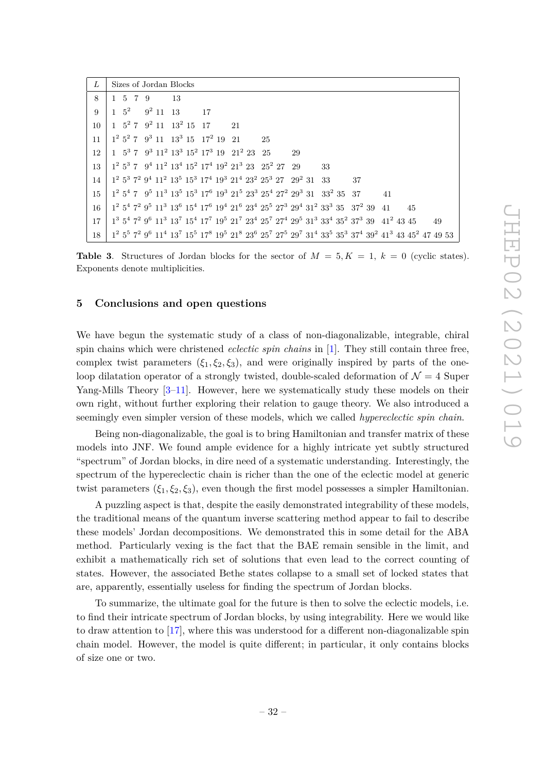| L  | Sizes of Jordan Blocks                                                                                                                                             |
|----|--------------------------------------------------------------------------------------------------------------------------------------------------------------------|
| 8  | 1 5 7 9<br>13                                                                                                                                                      |
| 9  | $1 \t5^2 \t9^2 \t11 \t13$<br>17                                                                                                                                    |
| 10 | $1\quad 5^2$ 7 $9^2$ 11 $13^2$ 15 17<br>21                                                                                                                         |
| 11 | $1^2$ $5^2$ 7 $9^3$ 11 $13^3$ 15 $17^2$ 19 21<br>25                                                                                                                |
| 12 | $1\quad 5^3\quad 7\quad 9^3\quad 11^2\quad 13^3\quad 15^2\quad 17^3\quad 19\quad 21^2\quad 23\quad 25$<br>29                                                       |
| 13 | $1^2\ 5^3\ 7\ 9^4\ 11^2\ 13^4\ 15^2\ 17^4\ 19^2\ 21^3\ 23\ 25^2\ 27\ 29$<br>33                                                                                     |
| 14 | $1^2$ $5^3$ $7^2$ $9^4$ $11^2$ $13^5$ $15^3$ $17^4$ $19^3$ $21^4$ $23^2$ $25^3$ $27$ $29^2$ $31$ $33$<br>37                                                        |
| 15 | $1^2$ $5^4$ $7$ $9^5$ $11^3$ $13^5$ $15^3$ $17^6$ $19^3$ $21^5$ $23^3$ $25^4$ $27^2$ $29^3$ $31$ $33^2$ $35$ $37$<br>41                                            |
| 16 | $1^2\ 5^4\ 7^2\ 9^5\ 11^3\ 13^6\ 15^4\ 17^6\ 19^4\ 21^6\ 23^4\ 25^5\ 27^3\ 29^4\ 31^2\ 33^3\ 35\  \ 37^2\ 39\  \ 41$<br>45                                         |
| 17 | $1^3$ $5^4$ $7^2$ $9^6$ $11^3$ $13^7$ $15^4$ $17^7$ $19^5$ $21^7$ $23^4$ $25^7$ $27^4$ $29^5$ $31^3$ $33^4$ $35^2$ $37^3$ $39$ $41^2$ $43$ $45$<br>49              |
| 18 | $1^2 \ 5^5 \ 7^2 \ 9^6 \ 11^4 \ 13^7 \ 15^5 \ 17^8 \ 19^5 \ 21^8 \ 23^6 \ 25^7 \ 27^5 \ 29^7 \ 31^4 \ 33^5 \ 35^3 \ 37^4 \ 39^2 \ 41^3 \ 43 \ 45^2 \ 47 \ 49 \ 53$ |

<span id="page-32-1"></span>**Table 3.** Structures of Jordan blocks for the sector of  $M = 5, K = 1, k = 0$  (cyclic states). Exponents denote multiplicities.

#### <span id="page-32-0"></span>**5 Conclusions and open questions**

We have begun the systematic study of a class of non-diagonalizable, integrable, chiral spin chains which were christened *eclectic spin chains* in [\[1\]](#page-34-0). They still contain three free, complex twist parameters  $(\xi_1, \xi_2, \xi_3)$ , and were originally inspired by parts of the oneloop dilatation operator of a strongly twisted, double-scaled deformation of  $\mathcal{N}=4$  Super Yang-Mills Theory [\[3–](#page-34-2)[11\]](#page-35-0). However, here we systematically study these models on their own right, without further exploring their relation to gauge theory. We also introduced a seemingly even simpler version of these models, which we called *hypereclectic spin chain*.

Being non-diagonalizable, the goal is to bring Hamiltonian and transfer matrix of these models into JNF. We found ample evidence for a highly intricate yet subtly structured "spectrum" of Jordan blocks, in dire need of a systematic understanding. Interestingly, the spectrum of the hypereclectic chain is richer than the one of the eclectic model at generic twist parameters  $(\xi_1, \xi_2, \xi_3)$ , even though the first model possesses a simpler Hamiltonian.

A puzzling aspect is that, despite the easily demonstrated integrability of these models, the traditional means of the quantum inverse scattering method appear to fail to describe these models' Jordan decompositions. We demonstrated this in some detail for the ABA method. Particularly vexing is the fact that the BAE remain sensible in the limit, and exhibit a mathematically rich set of solutions that even lead to the correct counting of states. However, the associated Bethe states collapse to a small set of locked states that are, apparently, essentially useless for finding the spectrum of Jordan blocks.

To summarize, the ultimate goal for the future is then to solve the eclectic models, i.e. to find their intricate spectrum of Jordan blocks, by using integrability. Here we would like to draw attention to [\[17\]](#page-35-6), where this was understood for a different non-diagonalizable spin chain model. However, the model is quite different; in particular, it only contains blocks of size one or two.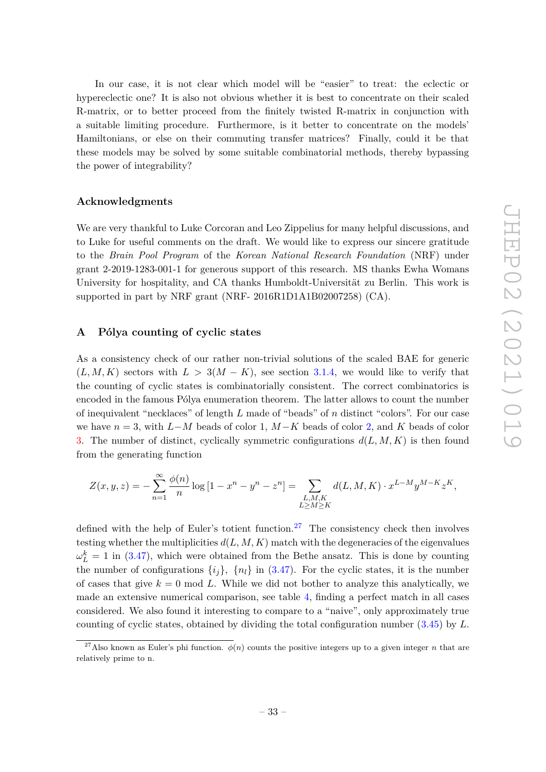In our case, it is not clear which model will be "easier" to treat: the eclectic or hypereclectic one? It is also not obvious whether it is best to concentrate on their scaled R-matrix, or to better proceed from the finitely twisted R-matrix in conjunction with a suitable limiting procedure. Furthermore, is it better to concentrate on the models' Hamiltonians, or else on their commuting transfer matrices? Finally, could it be that these models may be solved by some suitable combinatorial methods, thereby bypassing the power of integrability?

## **Acknowledgments**

We are very thankful to Luke Corcoran and Leo Zippelius for many helpful discussions, and to Luke for useful comments on the draft. We would like to express our sincere gratitude to the *Brain Pool Program* of the *Korean National Research Foundation* (NRF) under grant 2-2019-1283-001-1 for generous support of this research. MS thanks Ewha Womans University for hospitality, and CA thanks Humboldt-Universität zu Berlin. This work is supported in part by NRF grant (NRF- 2016R1D1A1B02007258) (CA).

## <span id="page-33-0"></span>**A Pólya counting of cyclic states**

As a consistency check of our rather non-trivial solutions of the scaled BAE for generic  $(L, M, K)$  sectors with  $L > 3(M - K)$ , see section [3.1.4,](#page-17-0) we would like to verify that the counting of cyclic states is combinatorially consistent. The correct combinatorics is encoded in the famous Pólya enumeration theorem. The latter allows to count the number of inequivalent "necklaces" of length *L* made of "beads" of *n* distinct "colors". For our case we have *n* = 3, with *L*−*M* beads of color 1, *M*−*K* beads of color 2, and *K* beads of color 3. The number of distinct, cyclically symmetric configurations  $d(L, M, K)$  is then found from the generating function

$$
Z(x, y, z) = -\sum_{n=1}^{\infty} \frac{\phi(n)}{n} \log \left[1 - x^{n} - y^{n} - z^{n}\right] = \sum_{\substack{L, M, K \\ L \ge M \ge K}} d(L, M, K) \cdot x^{L-M} y^{M-K} z^{K},
$$

defined with the help of Euler's totient function.<sup>[27](#page-33-1)</sup> The consistency check then involves testing whether the multiplicities  $d(L, M, K)$  match with the degeneracies of the eigenvalues  $\omega_L^k = 1$  in [\(3.47\)](#page-19-2), which were obtained from the Bethe ansatz. This is done by counting the number of configurations  $\{i_j\}$ ,  $\{n_l\}$  in [\(3.47\)](#page-19-2). For the cyclic states, it is the number of cases that give  $k = 0 \mod L$ . While we did not bother to analyze this analytically, we made an extensive numerical comparison, see table [4,](#page-34-4) finding a perfect match in all cases considered. We also found it interesting to compare to a "naive", only approximately true counting of cyclic states, obtained by dividing the total configuration number [\(3.45\)](#page-18-5) by *L*.

<span id="page-33-1"></span><sup>&</sup>lt;sup>27</sup>Also known as Euler's phi function.  $\phi(n)$  counts the positive integers up to a given integer *n* that are relatively prime to n.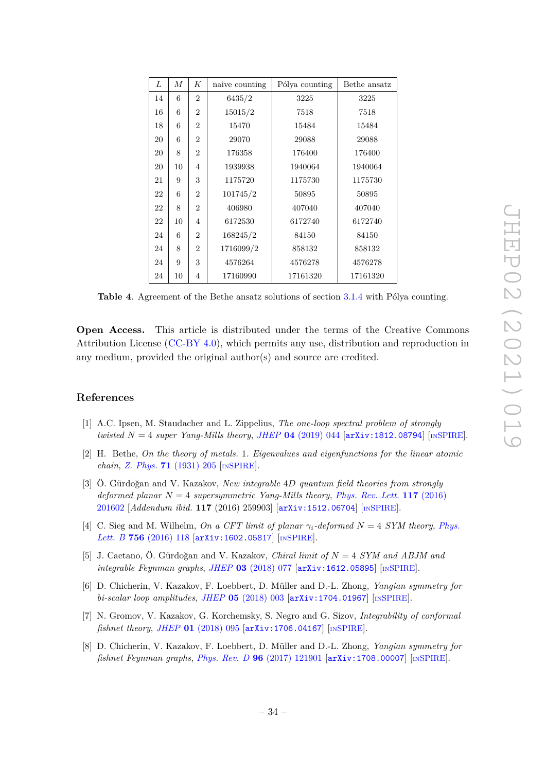| L  | $\boldsymbol{M}$ | Κ                           | naive counting | Pólya counting | Bethe ansatz |
|----|------------------|-----------------------------|----------------|----------------|--------------|
| 14 | 6                | $\overline{2}$              | 6435/2         | 3225           | 3225         |
| 16 | 6                | $\overline{2}$              | 15015/2        | 7518           | 7518         |
| 18 | 6                | $\overline{2}$              | 15470          | 15484          | 15484        |
| 20 | 6                | $\overline{2}$              | 29070          | 29088          | 29088        |
| 20 | 8                | $\overline{2}$              | 176358         | 176400         | 176400       |
| 20 | 10               | $\overline{4}$              | 1939938        | 1940064        | 1940064      |
| 21 | 9                | 3                           | 1175720        | 1175730        | 1175730      |
| 22 | 6                | $\overline{2}$              | 101745/2       | 50895          | 50895        |
| 22 | 8                | $\overline{2}$              | 406980         | 407040         | 407040       |
| 22 | 10               | $\overline{4}$              | 6172530        | 6172740        | 6172740      |
| 24 | 6                | $\overline{2}$              | 168245/2       | 84150          | 84150        |
| 24 | 8                | $\mathcal{D}_{\mathcal{L}}$ | 1716099/2      | 858132         | 858132       |
| 24 | 9                | 3                           | 4576264        | 4576278        | 4576278      |
| 24 | 10               | 4                           | 17160990       | 17161320       | 17161320     |

<span id="page-34-4"></span>**Table 4**. Agreement of the Bethe ansatz solutions of section [3.1.4](#page-17-0) with Pólya counting.

**Open Access.** This article is distributed under the terms of the Creative Commons Attribution License [\(CC-BY 4.0\)](https://creativecommons.org/licenses/by/4.0/), which permits any use, distribution and reproduction in any medium, provided the original author(s) and source are credited.

## **References**

- <span id="page-34-0"></span>[1] A.C. Ipsen, M. Staudacher and L. Zippelius, *The one-loop spectral problem of strongly twisted*  $N = 4$  *super Yang-Mills theory*, *JHEP* 04 [\(2019\) 044](https://doi.org/10.1007/JHEP04(2019)044)  $\left[$ [arXiv:1812.08794](https://arxiv.org/abs/1812.08794) $\right]$  [IN[SPIRE](https://inspirehep.net/search?p=find+EPRINT%2BarXiv%3A1812.08794)].
- <span id="page-34-1"></span>[2] H. Bethe, *On the theory of metals.* 1*. Eigenvalues and eigenfunctions for the linear atomic chain*, *Z. Phys.* **71** [\(1931\) 205](https://doi.org/10.1007/BF01341708) [IN[SPIRE](https://inspirehep.net/search?p=find+J%20%22Z.Phys.%2C71%2C205%22)].
- <span id="page-34-2"></span>[3] Ö. Gürdoğan and V. Kazakov, *New integrable* 4*D quantum field theories from strongly deformed planar N* = 4 *supersymmetric Yang-Mills theory*, *[Phys. Rev. Lett.](https://doi.org/10.1103/PhysRevLett.117.201602)* **117** (2016) [201602](https://doi.org/10.1103/PhysRevLett.117.201602) [*Addendum ibid.* **117** (2016) 259903] [[arXiv:1512.06704](https://arxiv.org/abs/1512.06704)] [IN[SPIRE](https://inspirehep.net/search?p=find+EPRINT%2BarXiv%3A1512.06704)].
- [4] C. Sieg and M. Wilhelm, *On a CFT limit of planar γi-deformed N* = 4 *SYM theory*, *[Phys.](https://doi.org/10.1016/j.physletb.2016.03.004) Lett. B* **756** [\(2016\) 118](https://doi.org/10.1016/j.physletb.2016.03.004) [[arXiv:1602.05817](https://arxiv.org/abs/1602.05817)] [IN[SPIRE](https://inspirehep.net/search?p=find+EPRINT%2BarXiv%3A1602.05817)].
- <span id="page-34-3"></span>[5] J. Caetano, Ö. Gürdoğan and V. Kazakov, *Chiral limit of N* = 4 *SYM and ABJM and integrable Feynman graphs*, *JHEP* **03** [\(2018\) 077](https://doi.org/10.1007/JHEP03(2018)077) [[arXiv:1612.05895](https://arxiv.org/abs/1612.05895)] [IN[SPIRE](https://inspirehep.net/search?p=find+EPRINT%2BarXiv%3A1612.05895)].
- [6] D. Chicherin, V. Kazakov, F. Loebbert, D. Müller and D.-L. Zhong, *Yangian symmetry for bi-scalar loop amplitudes*, *JHEP* **05** [\(2018\) 003](https://doi.org/10.1007/JHEP05(2018)003) [[arXiv:1704.01967](https://arxiv.org/abs/1704.01967)] [IN[SPIRE](https://inspirehep.net/search?p=find+EPRINT%2BarXiv%3A1704.01967)].
- [7] N. Gromov, V. Kazakov, G. Korchemsky, S. Negro and G. Sizov, *Integrability of conformal fishnet theory*, *JHEP* **01** [\(2018\) 095](https://doi.org/10.1007/JHEP01(2018)095) [[arXiv:1706.04167](https://arxiv.org/abs/1706.04167)] [IN[SPIRE](https://inspirehep.net/search?p=find+EPRINT%2BarXiv%3A1706.04167)].
- [8] D. Chicherin, V. Kazakov, F. Loebbert, D. Müller and D.-L. Zhong, *Yangian symmetry for fishnet Feynman graphs*, *Phys. Rev. D* **96** [\(2017\) 121901](https://doi.org/10.1103/PhysRevD.96.121901) [[arXiv:1708.00007](https://arxiv.org/abs/1708.00007)] [IN[SPIRE](https://inspirehep.net/search?p=find+EPRINT%2BarXiv%3A1708.00007)].